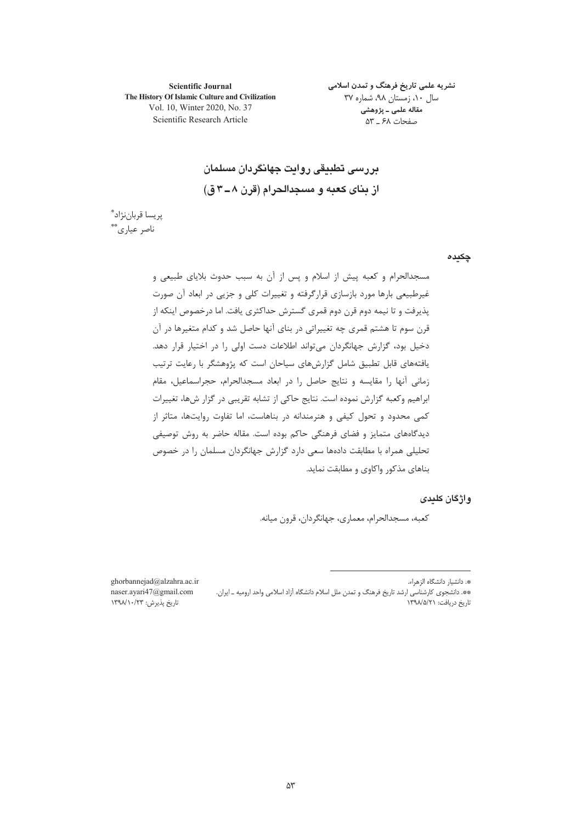**Scientific Journal** The History Of Islamic Culture and Civilization Vol. 10, Winter 2020, No. 37 Scientific Research Article

نشریه علمی تاریخ فرهنگ و تمدن اسلامی سال ۱۰، زمستان ۹۸، شماره ۳۷ مقاله علمي ـ پژوهشي صفحات ۶۸ \_ ۵۳

در رسی تطبیقی روایت جهانگردان مسلمان از بنای کعبه و مسجدالحرام (قرن ۸ـ۳م ق)

پريسا قرباننژاد" ناصر عيارى\*\*

چکیدہ

مسجدالحرام و کعبه پیش از اسلام و پس از آن به سبب حدوث بلایای طبیعی و غیرطبیعی بارها مورد بازسازی قرارگرفته و تغییرات کلی و جزیی در ابعاد آن صورت پذیرفت و تا نیمه دوم قرن دوم قمری گسترش حداکثری یافت. اما درخصوص اینکه از قرن سوم تا هشتم قمری چه تغییراتی در بنای آنها حاصل شد و کدام متغیرها در آن دخیل بود، گزارش جهانگردان میتواند اطلاعات دست اولی را در اختیار قرار دهد. یافتههای قابل تطبیق شامل گزارشهای سیاحان است که پژوهشگر با رعایت ترتیب زمانی آنها را مقایسه و نتایج حاصل را در ابعاد مسجدالحرام، حجراسماعیل، مقام ابراهیم وکعبه گزارش نموده است. نتایج حاکی از تشابه تقریبی در گزار شها، تغییرات کمی محدود و تحول کیفی و هنرمندانه در بناهاست، اما تفاوت روایتها، متاثر از دیدگاههای متمایز و فضای فرهنگی حاکم بوده است. مقاله حاضر به روش توصیفی تحلیلی همراه با مطابقت دادهها سعی دارد گزارش جهانگردان مسلمان را در خصوص بناهای مذکور واکاوی و مطابقت نماید.

واژگان کلیدی

كعبه، مسجدالحرام، معماري، جهانگردان، قرون ميانه.

\*. دانشیار دانشگاه الزهراء.

\*\* دانشجوی کارشناسی ارشد تاریخ فرهنگ و تمدن ملل اسلام دانشگاه آزاد اسلامی واحد ارومیه ـ ایران. تاریخ دریافت: ۱۳۹۸/۵/۲۱

ghorbannejad@alzahra.ac.ir naser.ayari47@gmail.com تاریخ پذیرش: ۱۳۹۸/۱۰/۲۳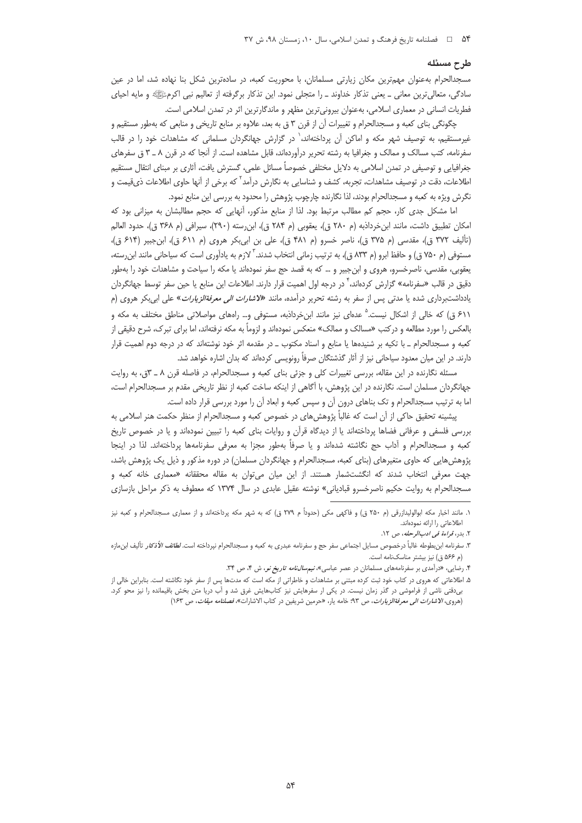### طرح مسئله

مسجدالحرام به عنوان مهم ترین مکان زیارتی مسلمانان، با محوریت کعبه، در سادهترین شکل بنا نهاده شد، اما در عین سادگی، متعالیترین معانی ـ یعنی تذکار خداوند ـ را متجلی نمود. این تذکار برگرفته از تعالیم نبی اکرمﷺ و مایه احیای فطریات انسانی در معماری اسلامی، بهعنوان بیرونیترین مظهر و ماندگارترین اثر در تمدن اسلامی است.

چگونگی بنای کعبه و مسجدالحرام و تغییرات آن از قرن ۳ ق به بعد، علاوه بر منابع تاریخی و منابعی که بهطور مستقیم و غیرمستقیم، به توصیف شهر مکه و اماکن آن پرداختهاند، ٰ در گزارش جهانگردان مسلمانی که مشاهدات خود را در قالب سفرنامه، کتب مسالک و ممالک و جغرافیا به رشته تحریر درآوردهاند، قابل مشاهده است. از آنجا که در قرن ۸ ــ ۳ ق سفرهای جغرافیایی و توصیفی در تمدن اسلامی به دلایل مختلفی خصوصاً مسائل علمی، گسترش یافت، آثاری بر مبنای انتقال مستقیم اطلاعات، دقت در توصیف مشاهدات، تجربه، کشف و شناسایی به نگارش درآمد<sup>۲</sup> که برخی از آنها حاوی اطلاعات ذی.قیمت و نگرش ویژه به کعبه و مسجدالحرام بودند، لذا نگارنده چارچوب پژوهش را محدود به بررسی این منابع نمود.

اما مشکل جدی کار، حجم کم مطالب مرتبط بود. لذا از منابع مذکور، آنهایی که حجم مطالبشان به میزانی بود که امكان تطبيق داشت، مانند ابنخرداذبه (م ٢٨٠ ق)، يعقوبي (م ٢٨۴ ق)، ابنِ رسته (٢٩٠)، سيرافي (م ٣۶٨ ق)، حدود العالم (تأليف ٣٧٢ ق)، مقدسي (م ٣٧۵ ق)، ناصر خسرو (م ۴۸۱ ق)، علي بن ابي بكر هروي (م ۶۱۱ ق)، ابن جبير (۶۱۴ ق)، مستوفی (م ۷۵۰ ق) و حافظ ابرو (م ۸۳۳ ق)، به ترتیب زمانی انتخاب شدند. <sup>7</sup> لازم به یادآوری است که سیاحانی مانند ابن رسته، یعقوبی، مقدسی، ناصرخسرو، هروی و ابنِجبیر و … که به قصد حج سفر نمودهاند یا مکه را سیاحت و مشاهدات خود را بهطور دقیق در قالب «سفرنامه» گزارش کردهاند، <sup>۴</sup> در درجه اول اهمیت قرار دارند. اطلاعات این منابع یا حین سفر توسط جهانگردان یادداشتبرداری شده یا مدتی پس از سفر به رشته تحریر درآمده، مانند «*لاشارات الی معرفةالزیارات*» علی ابیبکر هروی (م ۶۱۱ ق) که خالی از اشکال نیست.<sup>۵</sup> عدمای نیز مانند ابنخرداذبه، مستوفی و… رامهای مواصلاتی مناطق مختلف به مکه و بالعکس را مورد مطالعه و درکتب «مسالک و ممالک» منعکس نمودهاند و لزوماً به مکه نرفتهاند، اما برای تبرک، شرح دقیقی از کعبه و مسجدالحرام ـ با تکیه بر شنیدهها یا منابع و اسناد مکتوب ــ در مقدمه اثر خود نوشتهاند که در درجه دوم اهمیت قرار دارند. در این میان معدود سیاحانی نیز از آثار گذشتگان صرفاً رونویسی کردهاند که بدان اشاره خواهد شد.

مسئله نگارنده در این مقاله، بررسی تغییرات کلی و جزئی بنای کعبه و مسجدالحرام، در فاصله قرن ۸ ـ ۳ق، به روایت جهانگردان مسلمان است. نگارنده در این پژوهش، با آگاهی از اینکه ساخت کعبه از نظر تاریخی مقدم بر مسجدالحرام است، اما به ترتیب مسجدالحرام و تک بناهای درون آن و سپس کعبه و ابعاد آن را مورد بررسی قرار داده است.

پیشینه تحقیق حاکی از آن است که غالباً پژوهشهای در خصوص کعبه و مسجدالحرام از منظر حکمت هنر اسلامی به بررسی فلسفی و عرفانی فضاها پرداختهاند یا از دیدگاه قرآن و روایات بنای کعبه را تبیین نمودهاند و یا در خصوص تاریخ كعبه و مسجدالحرام و آداب حج نگاشته شدهاند و يا صرفاً بهطور مجزا به معرفى سفرنامهها پرداختهاند. لذا در اينجا پژوهش هایی که حاوی متغیرهای (بنای کعبه، مسجدالحرام و جهانگردان مسلمان) در دوره مذکور و ذیل یک پژوهش باشد، جهت معرفی انتخاب شدند که انگشتشمار هستند. از این میان میتوان به مقاله محققانه «معماری خانه کعبه و مسجدالحرام به روایت حکیم ناصرخسرو قبادیانی» نوشته عقیل عابدی در سال ۱۳۷۴ که معطوف به ذکر مراحل بازسازی

١. مانند اخبار مكه ابوالوليدازرقي (م ٢٥٠ ق) و فاكهي مكي (حدوداً م ٢٧٩ ق) كه به شهر مكه پرداختهاند و از معماري مسجدالحرام و كعبه نيز اطلاعاتی را ارائه نمودهاند.

٢. بدر، قراءة في ادب *الرحله*، ص ١٢.

۳. سفرنامه ابن بطوطه غالباً درخصوص مسايل اجتماعي سفر حج و سفرنامه عبدري به كعبه و مسجدالحرام نيرداخته است. *لطائف الأذكار* تأليف ابنءازه (م ۵۶۶ ق) نیز بیشتر مناسکنامه است.

۴. رضایی، «درآمدی بر سفرنامههای مسلمانان در عصر عباسی»، *نیمسالنامه تاریخ نو*، ش ۴، ص ۳۴.

۵. اطلاعاتی که هروی در کتاب خود ثبت کرده مبتنی بر مشاهدات و خاطراتی از مکه است که مدتها پس از سفر خود نگاشته است. بنابراین خالی از بی دقتی ناشی از فراموشی در گذر زمان نیست. در یکی ار سفرهایش نیز کتابهایش غرق شد و آب دریا متن بخش باقیمانده را نیز محو کرد. (هروى، *الاشارات الى معرفةالزيارات*، ص ٩٣: خامه يار، «حرمين شريفين در كتاب الاشارات»، *فصلنامه ميقات*، ص ١۶٣)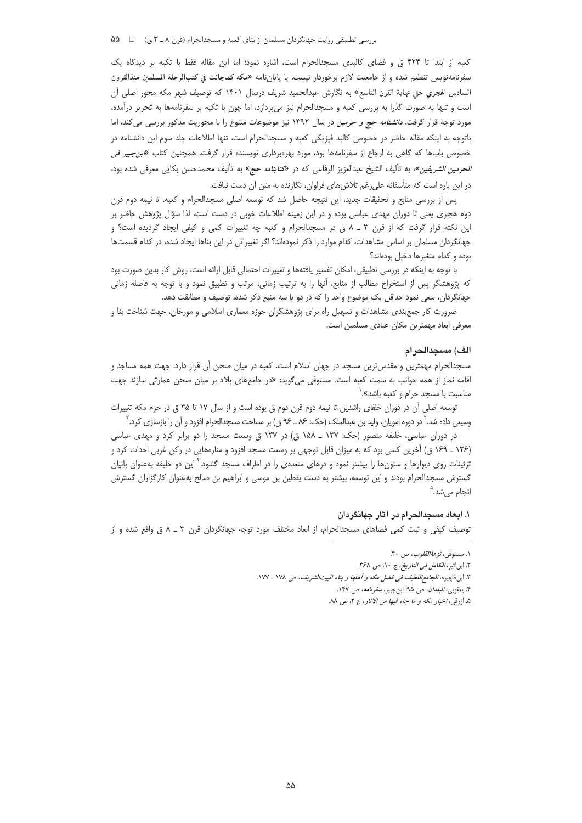كعبه از ابتدا تا ۴۲۴ ق و فضاي كالبدى مسجدالحرام است، اشاره نمود؛ اما اين مقاله فقط با تكيه بر ديدگاه يک سفرنامەنويس تنظيم شده و از جامعيت لازم برخوردار نيست. يا پايانiمه «مكه كماجائت في كتبالرحلة المسلمين منذالقرون السادس الهجري حتى نهاية القرن التاسع» به نگارش عبدالحميد شريف درسال ١۴٠١ كه توصيف شهر مكه محور اصلى آن است و تنها به صورت گذرا به بررسی کعبه و مسجدالحرام نیز میپردازد، اما چون با تکیه بر سفرنامهها به تحریر درآمده، مورد توجه قرار گرفت. *دانشنامه حج و حرمین* در سال ۱۳۹۲ نیز موضوعات متنوع را با محوریت مذکور بررسی میکند، اما باتوجه به اینکه مقاله حاضر در خصوص کالبد فیزیکی کعبه و مسجدالحرام است، تنها اطلاعات جلد سوم این دانشنامه در خصوص بابها که گاهی به ارجاع از سفرنامهها بود، مورد بهرهبرداری نویسنده قرار گرفت. همچنین کتاب «*ابن جبیر فی الحرمين الشريفين*»، به تأليف الشيخ عبدالعزيز الرفاعي كه در «*كتابنامه حج»* به تأليف محمدحسن بكايي معرفي شده بود، در این باره است که متأسفانه علی رغم تلاشهای فراوان، نگارنده به متن آن دست نیافت.

پس از بررسی منابع و تحقیقات جدید، این نتیجه حاصل شد که توسعه اصلی مسجدالحرام و کعبه، تا نیمه دوم قرن دوم هجری یعنی تا دوران مهدی عباسی بوده و در این زمینه اطلاعات خوبی در دست است، لذا سؤال پژوهش حاضر بر این نکته قرار گرفت که از قرن ۳ ـ ۸ ق در مسجدالحرام و کعبه چه تغییرات کمی و کیفی ایجاد گردیده است؟ و جهانگردان مسلمان بر اساس مشاهدات، کدام موارد را ذکر نمودهاند؟ اگر تغییراتی در این بناها ایجاد شده، در کدام قسمتها بوده و كدام متغيرها دخيل بودهاند؟

با توجه به اینکه در بررسی تطبیقی، امکان تفسیر یافتهها و تغییرات احتمالی قابل ارائه است، روش کار بدین صورت بود که پژوهشگر پس از استخراج مطالب از منابع، آنها را به ترتیب زمانی، مرتب و تطبیق نمود و با توجه به فاصله زمانی جهانگردان، سعی نمود حداقل یک موضوع واحد را که در دو یا سه منبع ذکر شده، توصیف و مطابقت دهد.

ضرورت کار جمعبندی مشاهدات و تسهیل راه برای پژوهشگران حوزه معماری اسلامی و مورخان، جهت شناخت بنا و معرفی ابعاد مهمترین مکان عبادی مسلمین است.

#### الف) مسجدالحرام

مسجدالحرام مهمترین و مقدس ترین مسجد در جهان اسلام است. کعبه در میان صحن آن قرار دارد. جهت همه مساجد و اقامه نماز از همه جوانب به سمت کعبه است. مستوفی می¢وید: «در جامعهای بلاد بر میان صحن عمارتی سازند جهت مناسبت با مسجد حرام و کعبه باشد».`

توسعه اصلی ان در دوران خلفای راشدین تا نیمه دوم قرن دوم ق بوده است و از سال ۱۷ تا ۳۵ ق در حرم مکه تغییرات وسیعی داده شد.' در دوره امویان، ولید بن عبدالملک (حک: ۸۶ ــ ۹۶ ق) بر مساحت مسجدالحرام افزود و آن را بازسازی کرد.'

در دوران عباسی، خلیفه منصور (حک: ١٣٧ ـ ١۵٨ ق) در ١٣٧ ق وسعت مسجد را دو برابر کرد و مهدی عباسی (۱۲۶ \_ ۱۶۹ ق) آخرین کسی بود که به میزان قابل توجهی بر وسعت مسجد افزود و منارههایی در رکن غربی احداث کرد و تزئینات روی دیوارها و ستونها را بیشتر نمود و درهای متعددی را در اطراف مسجد گشود. ٔ این دو خلیفه بهعنوان بانیان گسترش مسجدالحرام بودند و این توسعه، بیشتر به دست یقطین بن موسی و ابراهیم بن صالح بهعنوان کارگزاران گسترش انجام می شد.<sup>۵</sup>

# ۱. ابعاد مسجدالحرام در آثار جهانگردان

توصيف كيفي و ثبت كمي فضاهاي مسجدالحرام، از ابعاد مختلف مورد توجه جهانگردان قرن ٣ ـ ٨ ق واقع شده و از

۰۱ مستوف*ي، نزهة القلوب*، ص ۴۰.

٢. ابن اثير، *الكامل في التاريخ*، ج ١٠، ص ٣۶٨.

٣. ابن ظهيره، *الجامع|للطيف في فضل مكه و أهلها و بناء البيت|لشريف*، ص ١٧٨ \_ ١٧٧.

۴. يعقوبي، *البلدان*، ص ٩۵؛ ابن جبير، *سفرنامه*، ص ١۴٧.

۵. ازرقبي، *اخبار مكه و ما جاء فيها من الأثار*، ج ٢، ص ٨٨.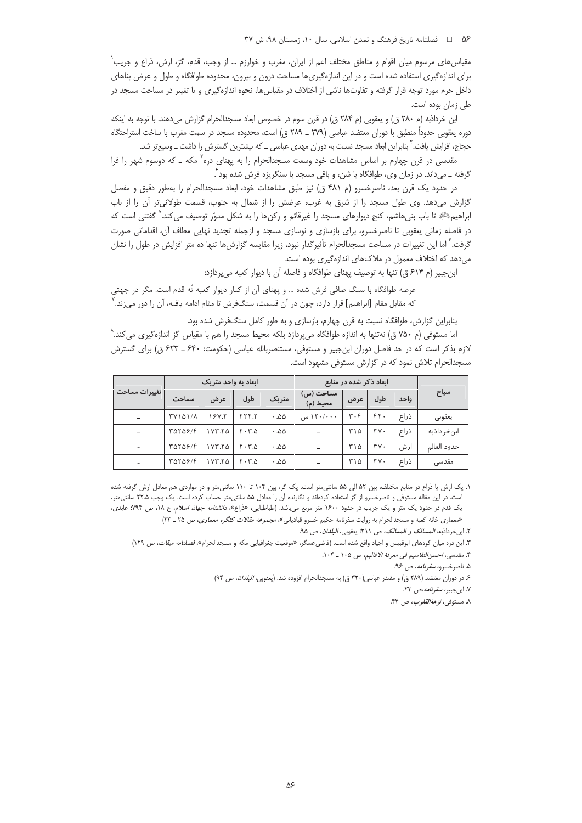#### ۵۶ هـ المحلفات الله عاريخ فرهنگ و تمدن اسلامي، سال ۱۰، زمستان ۹۸، ش ۳۷

مقياس هاي مرسوم ميان اقوام و مناطق مختلف اعم از ايران، مغرب و خوارزم ... از وجب، قدم، گز، ارش، ذراع و جريب` برای اندازهگیری استفاده شده است و در این اندازهگیریها مساحت درون و بیرون، محدوده طوافگاه و طول و عرض بناهای داخل حرم مورد توجه قرار گرفته و تفاوتها ناشی از اختلاف در مقیاسها، نحوه اندازهگیری و یا تغییر در مساحت مسجد در طی زمان بوده است.

ابن خرداذبه (م ۲۸۰ ق) و يعقوبي (م ۲۸۴ ق) در قرن سوم در خصوص ابعاد مسجدالحرام گزارش مىدهند. با توجه به اينكه دوره يعقوبي حدوداً منطبق با دوران معتضد عباسي (٢٧٩ ـ ٢٨٩ ق) است، محدوده مسجد در سمت مغرب با ساخت استراحتگاه حجاج، افزایش یافت. <sup>۲</sup> بنابراین ابعاد مسجد نسبت به دوران مهدی عباسی ــ که بیشترین گسترش را داشت ــ وسیعتر شد.

مقدسی در قرن چهارم بر اساس مشاهدات خود وسعت مسجدالحرام را به پهنای دره آ مکه \_ که دوسوم شهر را فرا گرفته \_ ميداند. در زمان وي، طوافگاه با شن، و باقي مسجد با سنگريزه فرش شده بود ٌ.

در حدود یک قرن بعد، ناصرخسرو (م ۴۸۱ ق) نیز طبق مشاهدات خود، ابعاد مسجدالحرام را بهطور دقیق و مفصل گزارش میدهد. وی طول مسجد را از شرق به غرب، عرضش را از شمال به جنوب، قسمت طولانی تر آن را از باب ابراهیمﷺ تا باب بنی۵شم، کنج دیوارهای مسجد را غیرقائم و رکن۵ را به شکل مدوّر توصیف می *کند.*° گفتنی است که در فاصله زمانی یعقوبی تا ناصرخسرو، برای بازسازی و نوسازی مسجد و ازجمله تجدید نهایی مطاف آن، اقداماتی صورت گرفت.<sup>۶</sup> اما این تغییرات در مساحت مسجدالحرام تأثیرگذار نبود، زیرا مقایسه گزارش ها تنها ده متر افزایش در طول را نشان می دهد که اختلاف معمول در ملاکهای اندازهگیری بوده است.

ابن جبیر (م ۶۱۴ ق) تنها به توصیف پهنای طوافگاه و فاصله آن با دیوار کعبه میپردازد:

عرصه طوافگاه با سنگ صافی فرش شده ... و پهنای آن از کنار دیوار کعبه نّه قدم است. مگر در جهتی كه مقابل مقام [ابراهيم] قرار دارد، چون در آن قسمت، سنگـفرش تا مقام ادامه يافته، آن را دور مىزند.

بنابراین گزارش، طوافگاه نسبت به قرن چهارم، بازسازی و به طور کامل سنگ(فش شده بود.

اما مستوفی (م ۷۵۰ ق) نهتنها به اندازه طوافگاه میپردازد بلکه محیط مسجد را هم با مقیاس گز اندازهگیری می کند.^ لازم بذکر است که در حد فاصل دوران ابن جبیر و مستوفی، مستنصربالله عباسی (حکومت: ۶۴۰ ـ ۶۲۳ ق) برای گسترش مسجدالحرام تلاش نمود که در گزارش مستوفی مشهود است.

| تغييرات مساحت            |                | ابعاد به واحد متریک |                    | ابعاد ذکر شده در منابع |                            |                               |                             |      |             |
|--------------------------|----------------|---------------------|--------------------|------------------------|----------------------------|-------------------------------|-----------------------------|------|-------------|
|                          | مساحت          | عرض                 | طول                | متریک                  | ِ مَسَاحَت (س)<br>محيط (م) | عرض                           | طول                         | واحد | سياح        |
|                          | <b>TYIQI/A</b> | 18Y.Y               | YYY.Y              | .00.                   | ۱۲۰/۰۰۰ س                  | $\mathbf{r} \cdot \mathbf{r}$ | FT.                         | ذراع | يعقوبي      |
|                          | raras/f        | ۲۷۳.۲۵              | $Y \cdot Y \Delta$ | ۵۵. ۰                  |                            | ۲۱۵                           | $\mathsf{r}\mathsf{v}\cdot$ | ذراع | ابنخرداذبه  |
| $\overline{\phantom{0}}$ | TOTOS/F        | 1YY.70              | $Y \cdot Y \Delta$ | ۵۵. ۰                  |                            | ۲۱۵                           | $\mathsf{r}\mathsf{v}\cdot$ | ارش  | حدود العالم |
| $\overline{\phantom{0}}$ | YAYAY/F        | ۲۷۳.۲۵              | $Y \cdot Y \Delta$ | ۵۵. ۰                  | $\overline{\phantom{a}}$   | ۲۱۵                           | $\mathsf{r}\mathsf{v}\cdot$ | ذراع | مقدسی       |

١. یک ارش یا ذراع در منابع مختلف، بین ۵۲ الی ۵۵ سانتیaتر است. یک گز، بین ۱۰۴ تا ۱۱۰ سانتیaتر و در مواردی هم معادل ارش گرفته شده است. در این مقاله مستوفی و ناصرخسرو از گز استفاده کردهاند و نگارنده آن را معادل ۵۵ سانتی¤تر حساب کرده است. یک وجب ۲۲.۵ سانتی¤تر، یک قدم در حدود یک متر و یک جریب در حدود ۱۶۰۰ متر مربع میباشد. (طباطبایی، «ذراع»، د*انشنامه جهان اسلام*، ج ۱۸، ص ۹۴٪ عابدی، «معماري خانه كعبه و مسجدالحرام به روايت سفرنامه حكيم خسرو قبادياني»، مجم*وعه مقالات كنگره معماري، ص ۲*۵ ـ ۲۳)

٢. ابن خرداذبه، *المسالك و الممالك*، ص ٢١١؛ يعقوبي، *البلدان*، ص ٩٥.

۳. این دره میان کوههای ابوقبیس و اجیاد واقع شده است. (قاضی عسگر، «موقعیت جغرافیایی مکه و مسجدالحرام»*، فصلنامه میقات، ص* ۱۲۹)

۴. مقدسی، *احسن التقاسیم فی معرفة الاقالیم*، ص ۱۰۵ \_ ۱۰۴.

۰۵ ناصرخسرو، *سفرنامه*، ص ۹۶.

۶ـ در دوران معتضد (۲۸۹ ق) و مقتدر عباسی(۳۲۰ ق) به مسجدالحرام افزوده شد. (يعقوبي، *البلدان*، ص ۹۴)

۷. ابن جبیر، *سفر نامه،ص ۲*۳.

۸. مستوفى، *نزهة القلوب*، ص ۴۴.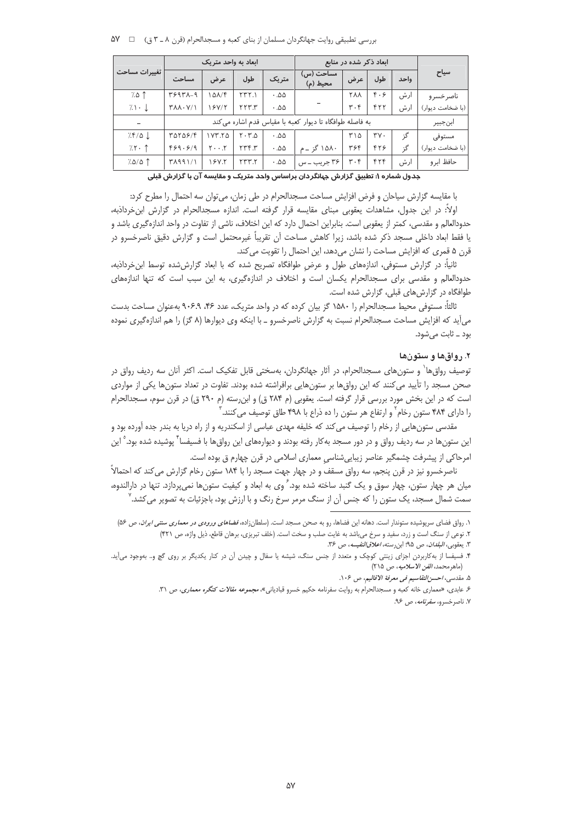بررسي تطبيقي روايت جهانگردان مسلمان از بناي كعبه و مسجدالحرام (قرن ٨ ـ ٣ ق) = W 4

|                        |                                  | ابعاد به واحد متریک                                      |                    | ابعاد ذکر شده در منابع |                       |                               |                             |      |                  |  |  |  |
|------------------------|----------------------------------|----------------------------------------------------------|--------------------|------------------------|-----------------------|-------------------------------|-----------------------------|------|------------------|--|--|--|
| تغييرات مساحت          | مساحت                            | عرض                                                      | طول                | متریک                  | مساحت (س)<br>محيط (م) | عرض                           | طول                         | واحد | سياح             |  |  |  |
| $7.0$ 1                | 39471-9                          | $10\lambda/F$                                            | YYY.1              | ۵۵. ۰                  |                       | <b>YAA</b>                    | F.5                         | ارش  | ناصر خسر و       |  |  |  |
| $7.1 \cdot \downarrow$ | $Y\lambda\lambda\cdot Y/\lambda$ | 18Y/۲                                                    | ۲۲۳۳               | ۵۵. ۰                  |                       | $\mathbf{r} \cdot \mathbf{r}$ | 577                         | ارش  | (با ضخامت دیوار) |  |  |  |
|                        |                                  | به فاصله طوافگاه تا دیوار کعبه با مقیاس قدم اشاره می کند |                    |                        |                       |                               |                             |      |                  |  |  |  |
| 7.8/0                  | $T\Delta Y\Delta S/F$            | 1YY.70                                                   | $Y \cdot Y \Delta$ | ۵۵. ۰                  |                       | ۲۱۵                           | $\mathsf{r}\mathsf{v}\cdot$ | گز   | مستوفى           |  |  |  |
| 7.5.7                  | F59.5/9                          | $Y \cdot \cdot Y$                                        | YYYY'              | ۵۵. ۰                  | ۱۵۸۰ گز ــ م          | ۳۶۴                           | ۴۲۶                         | گ;   | (با ضخامت دیوار) |  |  |  |
| $7.0/\Delta$ 1         | ۳۸۹۹۱/۱                          | 18 Y.Y                                                   | YYY. Y             | ۵۵. ۰                  | ۳۶ جریب ــ س          | $\mathbf{r} \cdot \mathbf{r}$ | 575                         | ار ش | حافظ ابر و       |  |  |  |

جدول شماره ۱: تطبیق گزارش جهانگردان براساس واحد متریک و مقایسه آن با گزارش قبلی

با مقایسه گزارش سیاحان و فرض افزایش مساحت مسجدالحرام در طی زمان، میتوان سه احتمال را مطرح کرد:

اولاً: در این جدول، مشاهدات یعقوبی مبنای مقایسه قرار گرفته است. اندازه مسجدالحرام در گزارش ابن خرداذبه، حدودالعالم و مقدسی، کمتر از یعقوبی است. بنابراین احتمال دارد که این اختلاف، ناشی از تفاوت در واحد اندازهگیری باشد و یا فقط ابعاد داخلی مسجد ذکر شده باشد، زیرا کاهش مساحت آن تقریباً غیرمحتمل است و گزارش دقیق ناصرخسرو در قرن ۵ قمری که افزایش مساحت را نشان میدهد، این احتمال را تقویت می کند.

ثانیاً: در گزارش مستوفی، اندازههای طول و عرض طوافگاه تصریح شده که با ابعاد گزارش شده توسط ابن خرداذبه، حدودالعالم و مقدسی برای مسجدالحرام یکسان است و اختلاف در اندازهگیری، به این سبب است که تنها اندازههای طوافگاه در گزارشهای قبلی، گزارش شده است.

ثالثاً: مستوفى محيط مسجدالحرام را ١۵٨٠ گز بيان كرده كه در واحد متريك، عدد ۴۶، ٩٠۶.۹ به عنوان مساحت بدست می آید که افزایش مساحت مسجدالحرام نسبت به گزارش ناصرخسرو ـ با اینکه وی دیوارها (۸ گز) را هم اندازهگیری نموده بود ــ ثابت می شود.

### ۲. رواقها و ستونها

توصیف رواق۱۵۰ و ستون۱عای مسجدالحرام، در آثار جهانگردان، بهسختی قابل تفکیک است. اکثر آنان سه ردیف رواق در صحن مسجد را تأیید می کنند که این رواق&ا بر ستونهایی برافراشته شده بودند. تفاوت در تعداد ستونها یکی از مواردی است که در این بخش مورد بررسی قرار گرفته است. یعقوبی (م ۲۸۴ ق) و ابن رسته (م ۲۹۰ ق) در قرن سوم، مسجدالحرام را دارای ۴۸۴ ستون رخام ٔ و ارتفاع هر ستون را ده ذراع با ۴۹۸ طاق توصیف می کنند. ٔ

مقدسی ستونهایی از رخام را توصیف می کند که خلیفه مهدی عباسی از اسکندریه و از راه دریا به بندر جده آورده بود و این ستونها در سه ردیف رواق و در دور مسجد به کار رفته بودند و دیوارههای این رواق،ها با فسیفسا ً پوشیده شده بود. ْ این امرحاکی از پیشرفت چشمگیر عناصر زیباییشناسی معماری اسلامی در قرن چهارم ق بوده است.

ناصرخسرو نیز در قرن پنجم، سه رواق مسقف و در چهار جهت مسجد را با ۱۸۴ ستون رخام گزارش می کند که احتمالاً میان هر چهار ستون، چهار سوق و یک گنبد ساخته شده بود. ً وی به ابعاد و کیفیت ستونها نمیپردازد. تنها در دارالندوه، سمت شمال مسجد، یک ستون را که جنس آن از سنگ مرمر سرخ رنگ و با ارزش بود، باجزئیات به تصویر می کشد. ٔ

٠. رواق فضاي سرپوشيده ستوندار است. دهانه اين فضاها، رو به صحن مسجد است. (سلطانزاده، *فضاهاي ورودي در معماري سنتي ايران*، ص ۵۶) ٢. نوعي از سنگ است و زرد، سفيد و سرخ مي باشد به غايت صلب و سخت است. (خلف تبريزي، برهان قاطع، ذيل واژه، ص ۴۲۱)

٣. يعقوبي، *البلدان*، ص ٩٥؛ ابن رسته، *اعلاق النفيسه*، ص ٣۶.

۴. فسیفسا از بهکاربردن اجزای زینتی کوچک و متعدد از جنس سنگ، شیشه یا سفال و چیدن آن در کنار یکدیگر بر روی گچ و.. بهوجود میآید. (ماهرمحمد، *الفن الاسلاميه*، ص ٢١۵)

۵. مقدسی، احسن التقاسیم فی معرفة الاقالیم، ص ۱۰۶.

۶. عابدی، «معماری خانه کعبه و مسجدالحرام به روایت سفرنامه حکیم خسرو قبادیانی»، مجم*وعه مقالات کنگره معماری*، ص ۳۱. ۷. ناصرخسرو، *سفرنامه*، ص ۹۶.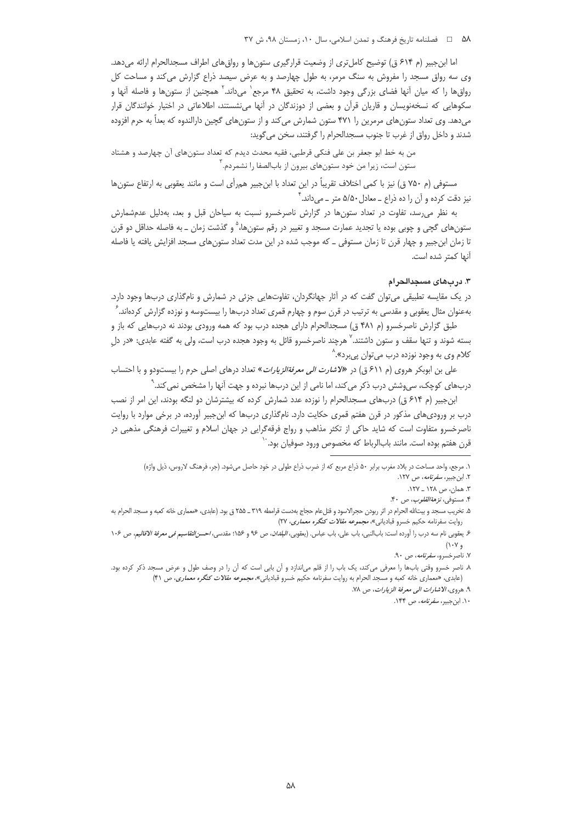#### ۵۸ هـ = فصلنامه تاريخ فرهنگ و تمدن اسلامي، سال ۱۰، زمستان ۹۸، ش ۳۷

اما ابن جبیر (م ۶۱۴ ق) توضیح کامل تری از وضعیت قرارگیری ستونها و رواق،های اطراف مسجدالحرام ارائه میدهد. وی سه رواق مسجد را مفروش به سنگ مرمر، به طول چهارصد و به عرض سیصد ذراع گزارش می کند و مساحت کل رواق ها را که میان آنها فضای بزرگی وجود داشت، به تحقیق ۴۸ مرجع` می داند.` همچنین از ستون ها و فاصله آنها و سکوهایی که نسخهنویسان و قاریان قرآن و بعضی از دوزندگان در آنها می:شستند، اطلاعاتی در اختیار خوانندگان قرار میدهد. وی تعداد ستونهای مرمرین را ۴۷۱ ستون شمارش می کند و از ستونهای گچین دارالندوه که بعداً به حرم افزوده شدند و داخل رواق از غرب تا جنوب مسجدالحرام را گرفتند، سخن می گوید:

من به خط ابو جعفر بن علي فنكي قرطبي، فقيه محدث ديدم كه تعداد ستونهاي آن چهارصد و هشتاد ستون است، زیرا من خود ستونهای بیرون از بابالصفا را نشمردم. آ

مستوفى (م ٧۵٠ ق) نيز با كمى اختلاف تقريباً در اين تعداد با ابن جبير همرأى است و مانند يعقوبي به ارتفاع ستونها نیز دقت کرده و آن را ده ذراع ــ معادل ۵/۵۰ متر ــ میداند. ٔ

به نظر می رسد، تفاوت در تعداد ستونها در گزارش ناصرخسرو نسبت به سیاحان قبل و بعد، بهدلیل عدمشمارش ستونهای گچی و چوبی بوده یا تجدید عمارت مسجد و تغییر در رقم ستونها، ؓ و گذشت زمان \_ به فاصله حداقل دو قرن تا زمان ابنِ جبیر و چهار قرن تا زمان مستوفی ـ که موجب شده در این مدت تعداد ستونهای مسجد افزایش یافته یا فاصله آنها كمتر شده است.

#### ۳. دربهای مسجدالحرام

در یک مقایسه تطبیقی می¤وان گفت که در آثار جهانگردان، تفاوتهایی جزئی در شمارش و نامگذاری دربها وجود دارد. بهعنوان مثال یعقوبی و مقدسی به ترتیب در قرن سوم و چهارم قمری تعداد دربها را بیستوسه و نوزده گزارش کردهاند. ً

طبق گزارش ناصرخسرو (م ۴۸۱ ق) مسجدالحرام دارای هجده درب بود که همه ورودی بودند نه دربهایی که باز و بسته شوند و تنها سقف و ستون داشتند.<sup>۷</sup> هرچند ناصرخسرو قائل به وجود هجده درب است، ولی به گفته عابدی: «در دل کلام وي به وجود نوزده درب ميتوان پيبرد».^

علی بن ابوبکر هروی (م ۶۱۱ ق) در «*لاشارت الی معرفةالزيارات*» تعداد درهای اصلی حرم را بيستودو و با احتساب دربهای کوچک، سی،وشش درب ذکر می کند، اما نامی از این دربها نبرده و جهت آنها را مشخص نمی کند.`

ابن جبیر (م ۶۱۴ ق) دربهای مسجدالحرام را نوزده عدد شمارش کرده که بیشترشان دو لنگه بودند، این امر از نصب درب بر ورودی.های مذکور در قرن هفتم قمری حکایت دارد. نامگذاری دربها که ابنجبیر آورده، در برخی موارد با روایت ناصرخسرو متفاوت است که شاید حاکی از تکثر مذاهب و رواج فرقهگرایی در جهان اسلام و تغییرات فرهنگی مذهبی در قرن هفتم بوده است. مانند بابالرباط که مخصوص ورود صوفیان بود. ٔ

١. مرجع، واحد مساحت در بلاد مغرب برابر ۵۰ ذراع مربع كه از ضرب ذراع طولي در خود حاصل مي شود. (جر، فرهنگ لاروس، ذيل واژه) ۲. این جبیر، *سفر نامه*، ص ۱۲۷.

۳. همان، ص ۱۲۸ \_ ۱۲۷.

۴. مستوفى، *نزهة القلوب*، ص ۴۰.

۵. تخریب مسجد و بیتالله الحرام در اثر ربودن حجرالاسود و قتل عام حجاج بهدست قرامطه ۳۱۹ ــ ۲۵۵ ق بود. (عابدی، «معماری خانه کعبه و مسجد الحرام به روایت سفرنامه حکیم خسرو قبادیانی»، *مجموعه مقالات کنگره معماری*، ۲۷)

ع يعقوبي نام سه درب را اَورده است: بابالنبي، باب علي، باب عباس. (يعقوبي، *البلدان، ص ٩*٠ و ١٠۶، مقدسي، *احسن التقاسيم في معرفة الاقاليم*، ص ١٠۶  $( \mathcal{N} \cdot \mathcal{V} \cdot \mathcal{V})$ 

۷. ناصرخسرو، *سفرنامه*، ص ۹۰.

۸. ناصر خسرو وقتی بابھا را معرفی میکند، یک باب را از قلم میاندازد و آن بابی است که آن را در وصف طول و عرض مسجد ذکر کرده بود. (عابدي، «معماري خانه كعبه و مسجد الحرام به روايت سفرنامه حكيم خسرو قبادياني»، *مجموعه مقالات كنگره معماري، ص* ۴۱)

۹. هروي، الاشارات الى معرفة الزيارات، ص ٧٨.

١٠. ابن جبير، *سفرنامه*، ص ١۴۴.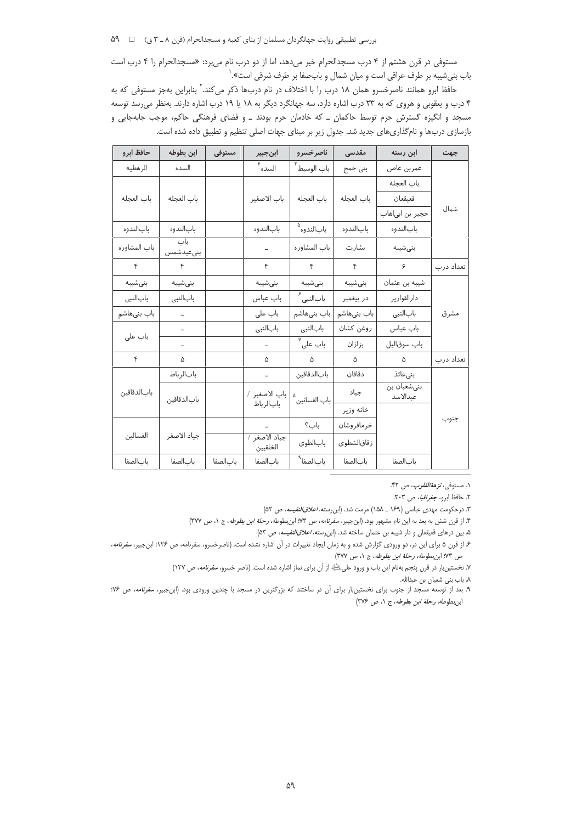بررسی تطبیقی روایت جهانگردان مسلمان از بنای کعبه و مسجدالحرام (قرن ٨ ـ ٣ ق) ها ه

مستوفى در قرن هشتم از ۴ درب مسجدالحرام خبر مى دهد، اما از دو درب نام مى برد: «مسجدالحرام را ۴ درب است باب بنیشیبه بر طرف عراقی است و میان شمال و بابحفا بر طرف شرقی است».<sup>\</sup>

حافظ ابرو همانند ناصرخسرو همان ۱۸ درب را با اختلاف در نام دربها ذکر میکند.<sup>۲</sup> بنابراین بهجز مستوفی که به ۴ درب و یعقوبی و هروی که به ۲۳ درب اشاره دارد، سه جهانگرد دیگر به ۱۸ یا ۱۹ درب اشاره دارند. بهنظر می رسد توسعه مسجد و انگیزه گسترش حرم توسط حاکمان \_ که خادمان حرم بودند \_ و فضای فرهنگی حاکم، موجب جابهجایی و بازسازی دربها و نامگذاریهای جدید شد. جدول زیر بر مبنای جهات اصلی تنظیم و تطبیق داده شده است.

| حافظ ابرو    | ابن بطوط <mark>ه</mark> | مستوفى    | ابنجبير                   | ناصرخسرو                  | مقدسی        | ابن رسته                | جهت       |
|--------------|-------------------------|-----------|---------------------------|---------------------------|--------------|-------------------------|-----------|
| الرهطيه      | السده                   |           | ۴<br>السده                | باب الوسيط <sup>۳</sup>   | بنی جمح      | عمربن عاص               |           |
|              |                         |           |                           |                           |              | باب العجله              |           |
| باب العجله   | باب العجله              |           | باب الاصغير               | باب العجله                | باب العجله   | قعيقعان                 |           |
|              |                         |           |                           |                           |              | حجير بن ابي هاب         | شمال      |
| بابالندوه    | بابالندوه               |           | بابالندوه                 | بابالندوه <sup>۵</sup>    | بابالندوه    | بابالندوه               |           |
| باب المشاوره | باب<br>بنىعبدشمس        |           | $\qquad \qquad -$         | باب المشاوره              | بشارت        | بنى شيبه                |           |
| $\mathbf{r}$ | $\mathbf{r}$            |           | ۴                         | $\mathbf{r}$              | $\mathbf{r}$ | ۶                       | تعداد درب |
| بنىشيبه      | بنىشيبه                 |           | بنى شيبه                  | بنىشيبه                   | بنىشيبه      | شیبه بن عثمان           |           |
| بابالنبى     | بابالنبى                |           | باب عباس                  | بابالنبی <sup>ء</sup>     | در پیغمبر    | دارالقوارير             |           |
| باب بنیهاشم  |                         |           | باب على                   | باب بنىھاشم               | باب بنىھاشم  | بابالنبي                | مشرق      |
|              |                         |           | بابالنبي                  | بابالنبى                  | روغن كشان    | باب عباس                |           |
| باب على      |                         |           | $\overline{a}$            | ہ<br>باب علی <sup>۷</sup> | بزازان       | باب سوقاليل             |           |
| ۴            | ۵                       |           | ۵                         | $\Delta$                  | $\Delta$     | ۵                       | تعداد درب |
|              | بابالرباط               |           |                           | بابالدقاقين               | دقاقان       | بنىعائذ                 |           |
| بابالدقاقين  | بابالدقاقين             |           | باب الاصغير /             | باب الفسانين <sup>^</sup> | جياد         | بنىشعبان بن<br>عبدالاسد |           |
|              |                         |           | بابالرباط                 |                           | خانه وزير    |                         |           |
| الغسالين     |                         |           |                           | باب؟                      | خرمافروشان   |                         | جنوب      |
|              | جياد الاصغر             |           | جياد الاصغر /<br>الخلقيين | بابالطوى                  | زقاقالشطوى   |                         |           |
| بابالصفا     | بابالصفا                | باب الصفا | بابالصفا                  | بابالصفا <sup>۹</sup>     | بابالصفا     | بابالصفا                |           |

۱. مستوفى، *نزهةالقلوب*، ص ۴۲.

۲. حافظ ابرو، *جغرافیا*، ص ۲۰۳.

٣. درحکومت مهدي عباسي (١۶٩ \_ ١٥٨) مرمت شد. (ابن رسته، *اعلاق النفيسه*، ص ٥٢)

۴. از قرن شش به بعد به این نام مشهور بود. (ابنجبیر، *سفرنامه*، ص ۷۳؛ ابنبطوطه، *رحلة ابن بطوطه*، ج ۱، ص ۳۷۷)

۵. بین درهای قعیقعان و دار شیبه بن عثمان ساخته شد. (ابن رسته، *اعلاق النفیسه*، ص ۵۳)

۶ـ از قرن ۵ برای این در، دو ورودی گزارش شده و به زمان ایجاد تغییرات در آن اشاره نشده است. (ناصرخسرو، سفرنامه، ص ۱۲۶؛ ابنجبیر، *سفرنامه*، ص ٧٣؛ ابن بطوطه، رحلة ابن بطوطه، ج ١، ص ٣٧٧)

۷. نخستینبار در قرن پنجم بهنام این باب و ورود علیﷺ از اَن برای نماز اشاره شده است. (ناصر خسرو، *سفرنامه*، ص ۱۲۷)

٨. باب بني شعبان بن عبدالله.

۹. بعد از توسعه مسجد از جنوب برای نخستینبار برای آن در ساختند که بزرگترین در مسجد با چندین ورودی بود. (ابنجبیر، *سفرنامه*، ص ۱۶۶؛ ابن بطوطه، رحلة ابن بطوطه، ج ١، ص ٣٧۶)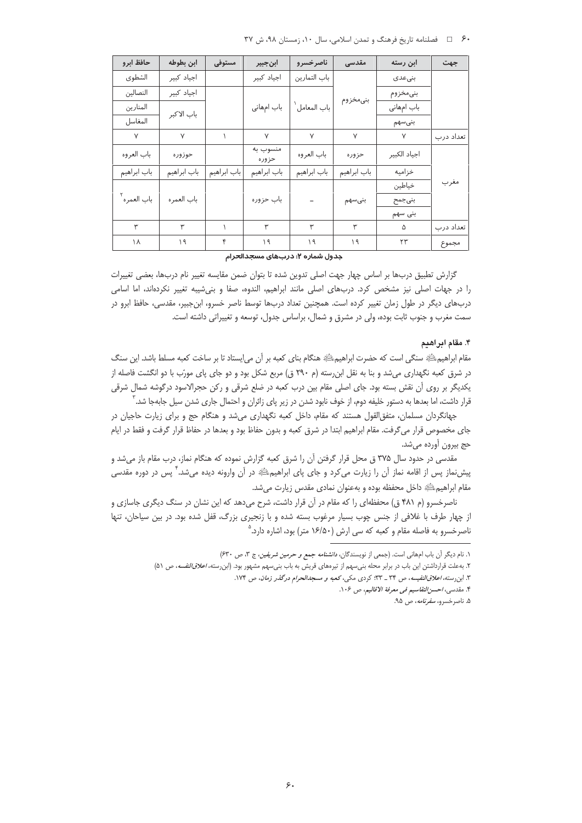۶۰ = فصلنامه تاریخ فرهنگ و تمدن اسلامی، سال ۱۰، زمستان ۹۸، ش ۳۷

| حافظ ابرو               | ابن بطوطه   | مستوفى      | ابنجبير           | ناصرخسرو      | مقدسى       | ابن رسته     | جهت       |            |  |
|-------------------------|-------------|-------------|-------------------|---------------|-------------|--------------|-----------|------------|--|
| الشطوى                  | اجياد كبير  |             | اجياد كبير        | باب التمارين  |             | بنىعدى       |           |            |  |
| النصالين                | اجياد كبير  |             |                   |               | بنىمخزوم    | بنىمخزوم     |           |            |  |
| المنارين                | باب الاكبر  |             | باب امهانی        | باب المعامل ْ |             |              |           | باب امهانی |  |
| المغاسل                 |             |             |                   |               |             | بنىسهم       |           |            |  |
| $\vee$                  | $\vee$      |             | $\vee$            | $\vee$        | $\vee$      | Y            | تعداد درب |            |  |
| باب العروه              | حوزوره      |             | منسوب به<br>حزوره | باب العروه    | حزوره       | اجياد الكبير |           |            |  |
| باب ابراهيم             | باب ابراهيم | باب ابراهيم | باب ابراهيم       | باب ابراهيم   | باب ابراهيم | خزاميه       |           |            |  |
|                         |             |             |                   |               |             | خياطين       | مغرب      |            |  |
| باب العمره <sup>۲</sup> | باب العمره  |             | باب حزوره         |               | بنىسهم      | بنىجمح       |           |            |  |
|                         |             |             |                   |               |             | بنی سهم      |           |            |  |
| ۳                       | ۳           |             | ۳                 | ۳             | ٣           | ۵            | تعداد درب |            |  |
| ۱۸                      | ۱۹          | ۴           | ۱۹                | ۱۹            | ۱۹          | ٢٣           | مجموع     |            |  |

#### جدول شماره ۲: دربهای مسجدالحرام

گزارش تطبیق دربها بر اساس چهار جهت اصلی تدوین شده تا بتوان ضمن مقایسه تغییر نام دربها، بعضی تغییرات را در جهات اصلی نیز مشخص کرد. دربهای اصلی مانند ابراهیم، الندوه، صفا و بنیشیبه تغییر نکردهاند، اما اسامی دربهای دیگر در طول زمان تغییر کرده است. همچنین تعداد دربها توسط ناصر خسرو، ابنجبیر، مقدسی، حافظ ابرو در سمت مغرب و جنوب ثابت بوده، ولی در مشرق و شمال، براساس جدول، توسعه و تغییراتی داشته است.

#### ۴. مقام ابر اهیم

مقام ابراهیمﷺ سنگی است که حضرت ابراهیمﷺ هنگام بنای کعبه بر آن می|یستاد تا بر ساخت کعبه مسلط باشد. این سنگ در شرق کعبه نگهداری میشد و بنا به نقل ابنِ رسته (م ۲۹۰ ق) مربع شکل بود و دو جای پای مورّب با دو انگشت فاصله از یکدیگر بر روی آن نقش بسته بود. جای اصلی مقام بین درب کعبه در ضلع شرقی و رکن حجرالاسود درگوشه شمال شرقی قرار داشت، اما بعدها به دستور خلیفه دوم، از خوف نابود شدن در زیر پای زائران و احتمال جاری شدن سیل جابهجا شد.<sup>۳</sup>

جهانگردان مسلمان، متفق|لقول هستند که مقام، داخل کعبه نگهداری میشد و هنگام حج و برای زیارت حاجیان در جای مخصوص قرار میگرفت. مقام ابراهیم ابتدا در شرق کعبه و بدون حفاظ بود و بعدها در حفاظ قرار گرفت و فقط در ایام حج بيرون أورده مي شد.

مقدسی در حدود سال ۳۷۵ ق محل قرار گرفتن آن را شرق کعبه گزارش نموده که هنگام نماز، درب مقام باز میشد و پیشنماز پس از اقامه نماز آن را زیارت میکرد و جای پای ابراهیمﷺ در آن وارونه دیده میشد." پس در دوره مقدسی مقام ابراهیمﷺ داخل محفظه بوده و بهعنوان نمادی مقدس زیارت میشد.

ناصرخسرو (م ۴۸۱ ق) محفظهای را که مقام در آن قرار داشت، شرح میدهد که این نشان در سنگ دیگری جاسازی و از چهار طرف با غلافی از جنس چوب بسیار مرغوب بسته شده و با زنجیری بزرگ، قفل شده بود. در بین سیاحان، تنها ناصرخسرو به فاصله مقام و کعبه که سی ارش (۱۶/۵۰ متر) بود، اشاره دارد.<sup>۵</sup>

١. نام ديگر آن باب امهاني است. (جمعي از نويسندگان، *دانشنامه جمع و حرمين شريفين*، ج ٣، ص ٤٣٠)

۲. به علت قرارداشتن این باب در برابر محله بنی سهم از تیرههای قریش به باب بنی سهم مشهور بود. (ابن رسته، *اعلاق النفسه*، ص ۵۱)

۳. ابن رسته، *اعلاق النفیسه*، ص ۳۴ ـ ۳۳: کردی مکی، کعب*ه و مسجدالحرام درگذر زمان*، ص ۱۷۴.

۴. مقدسی، *احسن التقاسیم فی معرفة الاقالیم*، ص ۱۰۶.

۵. ناصرخسرو، *سفرنامه*، ص ۹۵.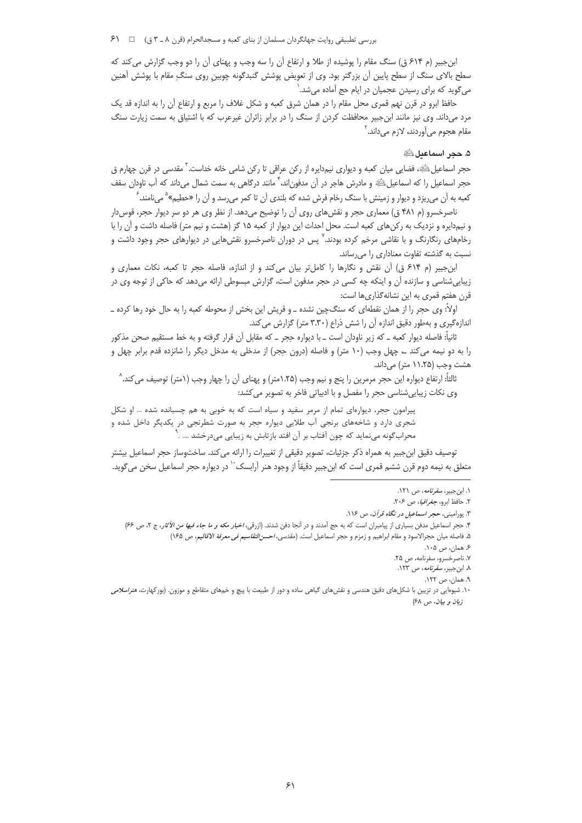ابن جبیر (م ۶۱۴ ق) سنگ مقام را پوشیده از طلا و ارتفاع آن را سه وجب و پهنای آن را دو وجب گزارش می کند که سطح بالای سنگ از سطح پایین آن بزرگتر بود. وی از تعویض پوشش گنبدگونه چوبین روی سنگ ِ مقام با پوشش آهنین می گوید که برای رسیدن عجمیان در ایام حج آماده میشد.`

حافظ ابرو در قرن نهم قمری محل مقام را در همان شرق کعبه و شکل غلاف را مربع و ارتفاع آن را به اندازه قد یک مرد میداند. وی نیز مانند ابنجبیر محافظت کردن از سنگ را در برابر زائران غیرعرب که با اشتیاق به سمت زیارت سنگ مقام هجوم مي آوردند، لازم مي داند. '

## ۵. حجر اسماعيل ڭ

حجر اسماعیلﷺ، فضایی میان کعبه و دیواری نیم‹دایره از رکن عراقی تا رکن شامی خانه خداست.<sup>۳</sup> مقدسی در قرن چهارم ق حجر اسماعیل را که اسماعیلﷺ و مادرش هاجر در آن مدفون|ند، ۲مانند درگاهی به سمت شمال میداند که آب ناودان سقف کعبه به آن می٫یزد و دیوار و زمینش با سنگ رخام فرش شده که بلندی آن تا کمر می٫رسد و آن را «حطیم» ْ می،نامند. ً

ناصرخسرو (م ۴۸۱ ق) معماری حجر و نقشهای روی آن را توضیح میدهد. از نظر وی هر دو سر دیوار حجر، قوس دار و نیم‹ایره و نزدیک به رکنهای کعبه است. محل احداث این دیوار از کعبه ۱۵ گز (هشت و نیم متر) فاصله داشت و آن را با رخامهای رنگارنگ و با نقاشی مرخم کرده بودند.<sup>۷</sup> پس در دوران ناصرخسرو نقشهایی در دیوارهای حجر وجود داشت و نسبت به گذشته تفاوت معناداری را می رساند.

ابن جبیر (م ۶۱۴ ق) آن نقش و نگارها را کامل تر بیان می کند و از اندازه، فاصله حجر تا کعبه، نکات معماری و زیباییشناسی و سازنده آن و اینکه چه کسی در حجر مدفون است، گزارش مبسوطی ارائه میدهد که حاکی از توجه وی در قرن هفتم قمری به این نشانهگذاریها است:

اولاً: وی حجر را از همان نقطهای که سنگچین نشده ـ و قریش این بخش از محوطه کعبه را به حال خود رها کرده ـ اندازهگیری و بهطور دقیق اندازه آن را شش ذراع (۳.۳۰ متر) گزارش می کند.

ثانیاً: فاصله دیوار کعبه ــ که زیر ناودان است ــ با دیواره حِجر ــ که مقابل آن قرار گرفته و به خط مستقیم صحن مذکور را به دو نیمه میکند ے چهل وجب (۱۰ متر) و فاصله (درون حِجر) از مدخلی به مدخل دیگر را شانزده قدم برابر چهل و هشت وجب (۱۱.۲۵ متر) میداند.

ثالثاً: ارتفاع ديواره اين حجر مرمرين را پنج و نيم وجب (١.٢۵متر) و پهناي آن را چهار وجب (١متر) توصيف مي كند. ^ وی نکات زیبایی شناسی حجر را مفصل و با ادبیاتی فاخر به تصویر می کشد:

پیرامون حجر، دیوارهای تمام از مرمر سفید و سیاه است که به خوبی به هم چسبانده شده … او شکل شجری دارد و شاخههای برنجی آب طلایی دیواره حِجر به صورت شطرنجی در یکدیگر داخل شده و محراب گونه مینماید که چون آفتاب بر آن افتد بازتابش به زیبایی میدرخشد .... .

توصيف دقيق ابن جبير به همراه ذكر جزئيات، تصوير دقيقي از تغييرات را ارائه مي كند. ساختوساز حجر اسماعيل بيشتر متعلق به نيمه دوم قرن ششم قمري است كه ابنِ جبير دقيقاً از وجود هنر آرابسک `` در ديواره حجر اسماعيل سخن مي¢ويد.

۰۱. این جبیر، *سفرنامه*، ص ۱۲۱.

٢. حافظ ابرو، جغرافیا، ص ٢٠۶.

۳. پورامینی، حجر *اسماعیل در نگاه قرآن*، ص ۱۱۶.

۴. حجر اسماعیل مدفن بسیاری از پیامبران است که به حج آمدند و در آنجا دفن شدند. (ازرقی، *اخبار مکه و ما جاء فیها من الآثار*، ج ۲، ص ۶۶)

۵. فاصله ميان حجرالاسود و مقام ابراهيم و زمزم و حجر اسماعيل است. (مقدسي، *احسن التقاسيم في معرفة الاقاليم*، ص ۱۶۵)

۶. همان، ص ۰۵.

٧. ناصرخسرو، سفرنامه، ص ٢۵. ۸. ابن جبیر، *سفرنامه*، ص ۱۲۳.

۹. همان، ص ۱۲۲.

۱۰. شیوهایی در تزیین با شکل های دقیق هندسی و نقش های گیاهی ساده و دور از طبیعت با پیچ و خمهای متقاطع و موزون. (بورکهارت، *هنراسلامی* زبان و بيان، ص ۶۸)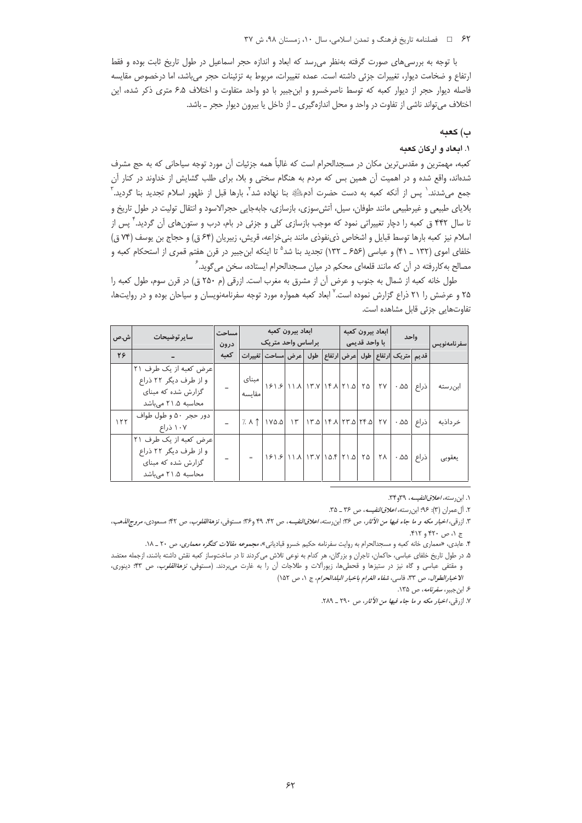#### ۶۲ = فصلنامه تاريخ فرهنگ و تمدن اسلامي، سال ١٠، زمستان ٩٨، ش ٣٧

با توجه به بررسی های صورت گرفته بهنظر می رسد که ابعاد و اندازه حجر اسماعیل در طول تاریخ ثابت بوده و فقط ارتفاع و ضخامت ديوار، تغييرات جزئي داشته است. عمده تغييرات، مربوط به تزئينات حجر ميباشد، اما درخصوص مقايسه فاصله دیوار حجر از دیوار کعبه که توسط ناصرخسرو و ابنجبیر با دو واحد متفاوت و اختلاف ۶.۵ متری ذکر شده، این اختلاف میتواند ناشی از تفاوت در واحد و محل اندازهگیری ـ از داخل یا بیرون دیوار حجر ـ باشد.

### ب) كعبه

#### ۱. ایجاد و ارکان کعبه

کعبه، مهمترین و مقدسترین مکان در مسجدالحرام است که غالباً همه جزئیات آن مورد توجه سیاحانی که به حج مشرف شدهاند، واقع شده و در اهمیت آن همین بس که مردم به هنگام سختی و بلا، برای طلب گشایش از خداوند در کنار آن جمع میشدند. ٰ پس از آنکه کعبه به دست حضرت آدمﷺ بنا نهاده شد ؓ، بارها قبل از ظهور اسلام تجدید بنا گردید. ؓ بلایای طبیعی و غیرطبیعی مانند طوفان، سیل، آتش سوزی، بازسازی، جابهجایی حجرالاسود و انتقال تولیت در طول تاریخ و تا سال ۴۴۲ ق کعبه را دچار تغییراتی نمود که موجب بازسازی کلی و جزئی در بام، درب و ستونهای آن گردید.<sup>۲</sup> پس از اسلام نیز کعبه بارها توسط قبایل و اشخاص ذینفوذی مانند بنی خزاعه، قریش، زبیریان (۶۴ ق) و حجاج بن یوسف (۷۴ ق) خلفای اموی (۱۳۲ \_ ۴۱) و عباسی (۶۵۶ \_ ۱۳۲) تجدید بنا شد<sup>۵</sup> تا اینکه ابن جبیر در قرن هفتم قمری از استحکام کعبه و مصالح به کاررفته در آن که مانند قلعهای محکم در میان مسجدالحرام ایستاده، سخن می *گ*وید. <sup>۶</sup>

طول خانه كعبه از شمال به جنوب و عرض أن از مشرق به مغرب است. ازرقى (م ٢٥٠ ق) در قرن سوم، طول كعبه را ۲۵ و عرضش را ۲۱ ذراع گزارش نموده است. <sup>۷</sup> ابعاد کعبه همواره مورد توجه سفرنامهنویسان و سیاحان بوده و در روایتها، تفاوتهایی جزئی قابل مشاهده است.

| ش.ص | سایر توضیحات          |      | ابعاد بيرون كعبه                        |                                                                                                  |  |                                   |  | ابعاد بيرون كعبه |  |           | واحد                                 |       |              |
|-----|-----------------------|------|-----------------------------------------|--------------------------------------------------------------------------------------------------|--|-----------------------------------|--|------------------|--|-----------|--------------------------------------|-------|--------------|
|     |                       | درون |                                         | براساس واحد متريك                                                                                |  |                                   |  | با واحد قديمي    |  |           |                                      |       | سفر نامەنوپس |
| 28  |                       | كعىه |                                         | طول  عرض مساحت تغييرات                                                                           |  |                                   |  |                  |  |           | قديم أمتريك أرتفاع أطول أعرض أارتفاع |       |              |
|     | عرض كعبه از يك طرف ٢١ |      |                                         |                                                                                                  |  |                                   |  |                  |  |           |                                      |       |              |
|     | و از طرف دیگر ۲۲ ذراع |      | ۲۵  ۱۲.۵   ۱۳.۷   ۱۳.۷   ۱۶۱.۶    مبنای |                                                                                                  |  |                                   |  |                  |  |           | ذراع   ۵۵ -   ۲۷                     |       |              |
|     | گزارش شده که مبنای    |      | مقايسه                                  |                                                                                                  |  |                                   |  |                  |  |           |                                      |       | ابنرسته      |
|     | محاسبه ۲۱.۵ می باشد   |      |                                         |                                                                                                  |  |                                   |  |                  |  |           |                                      |       |              |
| 111 | دور حجر ۵۰ و طول طواف |      |                                         | $7. \wedge \uparrow$ 1YO.O                                                                       |  | ۲۷   ۱۳.۵   ۱۴.۸   ۲۳.۵   ۲۴   ۱۳ |  |                  |  |           | .00                                  | ذراع  | خر داذبه     |
|     | ۱۰۷ ذراع              |      |                                         |                                                                                                  |  |                                   |  |                  |  |           |                                      |       |              |
|     | عرض كعبه از يك طرف ٢١ |      |                                         |                                                                                                  |  |                                   |  |                  |  |           |                                      |       |              |
|     | و از طرف دیگر ۲۲ ذراع |      |                                         | $ S \setminus S $ $ A \setminus  T \setminus   \setminus S $ $ Y \setminus S $ $ Y \setminus S $ |  |                                   |  |                  |  | <b>YA</b> | $.00 -$                              | اذراع | يعقوبى       |
|     | گزارش شده که مبنای    |      |                                         |                                                                                                  |  |                                   |  |                  |  |           |                                      |       |              |
|     | محاسبه ۲۱.۵ میباشد    |      |                                         |                                                                                                  |  |                                   |  |                  |  |           |                                      |       |              |

۱. ابن رسته، *اعلاق النفيسه*، ۳۴و۳۴.

٢. آل عمران (٣): ٩۶؛ ابن رسته، اعلاق النفيسه، ص ٣۶ \_ ٣٥.

۷. ازرقبی، *اخبار مکه و ما جاء فیها من الآثار*، ص ۲۹۰ <sub>– </sub>۲۸۹.

۳. ازرقی، *اخبار مکه و ما جاء فیها من الآثار، ص ۹*۳: ابن رسته، *اعلاقالنفیسه*، ص ۴۲، ۴۹ و۳۴: مستوفی، *نزهةالقلوب*، ص ۴۲: مسعودی، *مروج الذه*ب، ج ۱، ص ۴۲۰ و ۴۱۲.

۴. عابدی، «معماری خانه کعبه و مسجدالحرام به روایت سفرنامه حکیم خسرو قبادیانی»، مجم*وعه مقالات کنگره معماری*، ص ۲۰ ـ ۱۸.

۵. در طول تاریخ خلفای عباسی، حاکمان، تاجران و بزرگان، هر کدام به نوعی تلاش میکردند تا در ساختوساز کعبه نقش داشته باشند، ازجمله معتضد و مقتفی عباسی و گاه نیز در ستیزها و قحطیها، زیوراًلات و طلاجات آن را به غارت میبردند. (مستوفی*، نزهةالقلوب،* ص ۴۳؛ دینوری، الاخبار الطوال، ص ٣٣، فاسى، شفاء الغرام باخبار البلدالحرام، ج ١، ص ١٥٢)

۶. ابن جبیر، *سفرنامه*، ص ۱۳۵.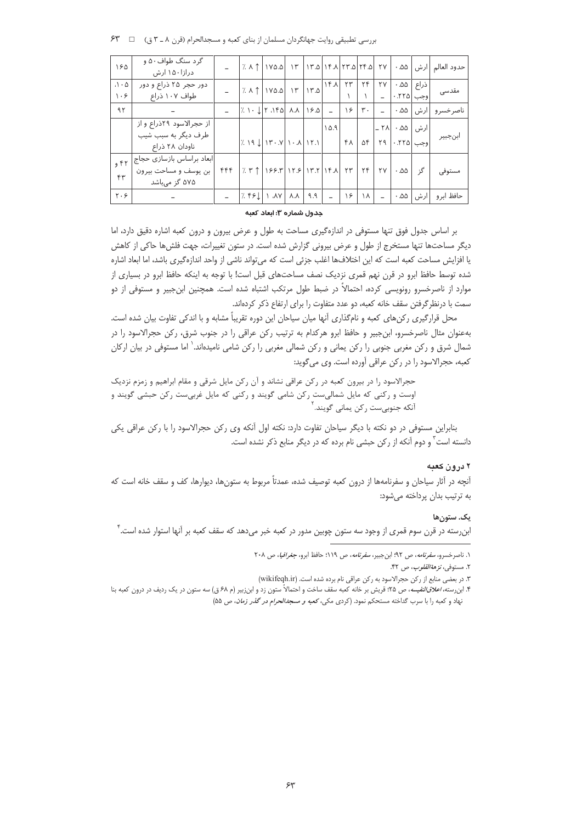| 180                                                | گر د سنگ طواف ۵۰ و<br>درازا۱۵۰ ارش     |     | $ 7\land \uparrow 1\lor 0.0 1\uparrow 1\uparrow 0 1\uparrow 1 \uparrow 0 \uparrow\uparrow 0 1\uparrow 0 1\uparrow 1 $ |                                                                                                                                                                                                                               |            |      |        |                                  |     |        |                                                                     |              | ا حدود العالم   ارش   ۵۵ ۰ <sub>.</sub> |
|----------------------------------------------------|----------------------------------------|-----|-----------------------------------------------------------------------------------------------------------------------|-------------------------------------------------------------------------------------------------------------------------------------------------------------------------------------------------------------------------------|------------|------|--------|----------------------------------|-----|--------|---------------------------------------------------------------------|--------------|-----------------------------------------|
| $\cdot \wedge \cdot \varphi$<br>$\cdot$ $\epsilon$ | دور حجر ۲۵ ذراع و دور<br>طواف ۱۰۷ ذراع |     | $ X \wedge \uparrow Y \wedge \uparrow $                                                                               |                                                                                                                                                                                                                               | $ \gamma $ | 17.0 | 16.1   | ۲۳                               | ۲۴  | ٢Y     | وجب ٢٢٥.                                                            | ذراع   ۵۵. ۰ | مقدسی                                   |
|                                                    |                                        |     |                                                                                                                       |                                                                                                                                                                                                                               |            |      |        |                                  |     |        |                                                                     |              |                                         |
| 9 <sub>1</sub>                                     |                                        |     | $ 7.1 \cdot 1 7.150 $ $\Lambda \Lambda$ $ 15.0 $                                                                      |                                                                                                                                                                                                                               |            |      | $\sim$ | $  \gamma \epsilon  $ $\gamma$ . |     | $\sim$ | $.00 -$                                                             | ∣ارش         | ناصر خسر و                              |
|                                                    | از حجرالاسود ۲۹ذراع و از               |     |                                                                                                                       |                                                                                                                                                                                                                               |            |      | 10.9   |                                  |     |        |                                                                     |              |                                         |
|                                                    | طرف دیگر به سبب شیب                    |     | $ 7.19$ $ 11.1$ $ 1.1$ $ 1.1$                                                                                         |                                                                                                                                                                                                                               |            |      |        | $FA$ $\Delta F$                  |     |        | ارش   ۵۵ ۰   ۲۸ –  <br>  وجب   ۲۹ - ۲۹   ۴  <br>  وجب   ۲۹ - ۲۰   ۴ |              | ابنجبير                                 |
|                                                    | ناودان ۲۸ ذراع                         |     |                                                                                                                       |                                                                                                                                                                                                                               |            |      |        |                                  |     |        |                                                                     |              |                                         |
| 957                                                | ابعاد براساس بازسازى حجاج              |     |                                                                                                                       |                                                                                                                                                                                                                               |            |      |        |                                  |     |        |                                                                     |              |                                         |
|                                                    | بن یوسف و مساحت بیرون                  | ۴۴۴ |                                                                                                                       | $7.4$   $155$ $\frac{1}{15}$   $17.5$   $17.7$   $16.1$ $17$   $17$   $17$   $17$   $17$   $17$   $17$   $17$   $17$   $17$   $17$   $17$   $17$   $17$   $17$   $17$   $17$   $17$   $17$   $17$   $17$   $17$   $17$   $17$ |            |      |        |                                  |     |        | .00                                                                 | گز           | مستوفى                                  |
| $f^{\mu}$                                          | ۵۷۵ گز میباشد                          |     |                                                                                                                       |                                                                                                                                                                                                                               |            |      |        |                                  |     |        |                                                                     |              |                                         |
| $Y \cdot 5$                                        |                                        |     | $ X F F L $ $\Lambda V$ $\Lambda$                                                                                     |                                                                                                                                                                                                                               |            | ۹.۹  |        | $\frac{1}{2}$                    | 1 \ |        | ۵۵. ۰                                                               | ارش          | حافظ ابر و                              |

بررسي تطبيقي روايت جهانگردان مسلمان از بناي كعبه و مسجدالحرام (قرن ٨ ـ ٣ ق) [ 7 \* )

جدول شماره ۳: ابعاد کعبه

بر اساس جدول فوق تنها مستوفى در اندازهگيرى مساحت به طول و عرض بيرون و درون كعبه اشاره دقيق دارد، اما دیگر مساحتها تنها مستخرج از طول و عرض بیرونی گزارش شده است. در ستون تغییرات، جهت فلشها حاکی از کاهش یا افزایش مساحت کعبه است که این اختلافها اغلب جزئی است که می¤واند ناشی از واحد اندازهگیری باشد، اما ابعاد اشاره شده توسط حافظ ابرو در قرن نهم قمری نزدیک نصف مساحتهای قبل است! با توجه به اینکه حافظ ابرو در بسیاری از موارد از ناصرخسرو رونویسی کرده، احتمالاً در ضبط طول مرتکب اشتباه شده است. همچنین ابنجبیر و مستوفی از دو سمت با درنظر گرفتن سقف خانه كعبه، دو عدد متفاوت را براي ارتفاع ذكر كردهاند.

محل قرارگیری رکن های کعبه و نامگذاری آنها میان سیاحان این دوره تقریباً مشابه و با اندکی تفاوت بیان شده است. بهعنوان مثال ناصرخسرو، ابنجبیر و حافظ ابرو هرکدام به ترتیب رکن عراقی را در جنوب شرق، رکن حجرالاسود را در شمال شرق و رکن مغربی جنوبی را رکن یمانی و رکن شمالی مغربی را رکن شامی نامیدهاند.<sup>\</sup> اما مستوفی در بیان ارکان كعبه، حجرالاسود را در ركن عراقي آورده است. وي مي گويد:

حجرالاسود را در بیرون کعبه در رکن عراقی نشاند و آن رکن مایل شرقی و مقام ابراهیم و زمزم نزدیک اوست و رکنی که مایل شمالیست رکن شامی گویند و رکنی که مایل غربیست رکن حبشی گویند و آنکه جنوبیٍست رکن یمانی گویند. ٰ

بنابراین مستوفی در دو نکته با دیگر سیاحان تفاوت دارد: نکته اول آنکه وی رکن حجرالاسود را با رکن عراقی یکی دانسته است ٌ و دوم آنکه از رکن حبشی نام برده که در دیگر منابع ذکر نشده است.

## ۲ در ون کعبه

آنچه در آثار سیاحان و سفرنامهها از درون کعبه توصیف شده، عمدتاً مربوط به ستونها، دیوارها، کف و سقف خانه است که به ترتیب بدان پرداخته می شود:

#### یک. ستون ها

ابنرسته در قرن سوم قمری از وجود سه ستون چوبین مدور در کعبه خبر میدهد که سقف کعبه بر آنها استوار شده است. ٔ

١. ناصرخسرو، *سفرنامه*، ص ٩٢؛ ابن جبير، *سفرنامه*، ص ١١٩؛ حافظ ابرو، ج*غرافيا، ص ٢٠٨* 

۲. مستوفى، *نزهة القلوب*، ص ۴۲.

٣. در بعضي منابع از ركن حجرالاسود به ركن عراقي نام برده شده است. (wikifeqh.ir)

۴. ابن رسته، *اعلاق النفیسه*، ص ۲۵؛ قریش بر خانه کعبه سقف ساخت و احتمالاً ستون زد و ابن زبیر (م ۶۸ ق) سه ستون در یک ردیف در درون کعبه بنا نهاد و کعبه را با سرب گداخته مستحکم نمود. (کردی مکی، کع*به و مسجدالحرام در گذر زمان*، ص ۵۵)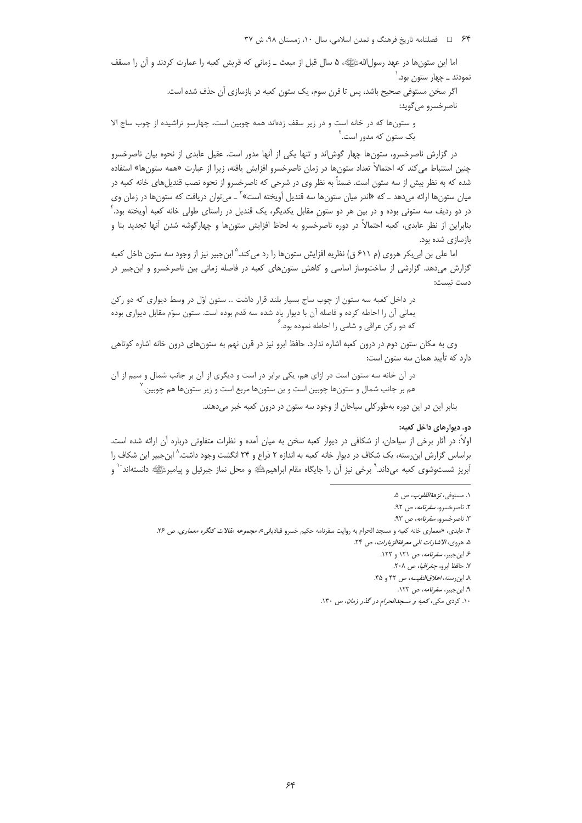۶۴ = فصلنامه تاريخ فرهنگ و تمدن اسلامي، سال ١٠، زمستان ٩٨، ش ٣٧

اما این ستونها در عهد رسول اللهﷺ، ۵ سال قبل از مبعث ـ زمانی که قریش کعبه را عمارت کردند و آن را مسقف نمودند ــ چهار ستون بود.`

> اگر سخن مستوفی صحیح باشد، پس تا قرن سوم، یک ستون کعبه در بازسازی آن حذف شده است. ناصرخسرو مي گويد:

و ستونها که در خانه است و در زیر سقف زدهاند همه چوبین است، چهارسو تراشیده از چوب ساج الا یک ستون که مدور است.<sup>۲</sup>

در گزارش ناصرخسرو، ستونها چهار گوش اند و تنها یکی از آنها مدور است. عقیل عابدی از نحوه بیان ناصرخسرو چنین استنباط می کند که احتمالاً تعداد ستون@ا در زمان ناصرخسرو افزایش یافته، زیرا از عبارت «همه ستونها» استفاده شده که به نظر بیش از سه ستون است. ضمناً به نظر وی در شرحی که ناصرخسرو از نحوه نصب قندیلهای خانه کعبه در میان ستونها ارائه میدهد ــ که «اندر میان ستونها سه قندیل آویخته است»<sup>۳</sup> ــ میتوان دریافت که ستونها در زمان وی در دو ردیف سه ستونی بوده و در بین هر دو ستونِ مقابل یکدیگر، یک قندیل در راستای طولی خانه کعبه آویخته بود. ٔ بنابراین از نظر عابدی، کعبه احتمالاً در دوره ناصرخسرو به لحاظ افزایش ستونها و چهارگوشه شدن آنها تجدید بنا و بازسازی شده بود.

اما علی بن ابی بکر هروی (م ۶۱۱ ق) نظریه افزایش ستونها را رد می کند.<sup>۵</sup> ابن جبیر نیز از وجود سه ستون داخل کعبه گزارش میدهد. گزارشی از ساختوساز اساسی و کاهش ستونهای کعبه در فاصله زمانی بین ناصرخسرو و ابنجبیر در دست نيست:

در داخل کعبه سه ستون از چوب ساج بسیار بلند قرار داشت ... ستون اوّل در وسط دیواری که دو رکن يماني آن را احاطه كرده و فاصله آن با ديوار ياد شده سه قدم بوده است. ستون سوّم مقابل ديواري بوده که دو رکن عراقی و شامی را احاطه نموده بود. ٔ

وی به مکان ستون دوم در درون کعبه اشاره ندارد. حافظ ابرو نیز در قرن نهم به ستونهای درون خانه اشاره کوتاهی دارد که تأیید همان سه ستون است:

در آن خانه سه ستون است در ازای هم، یکی برابر در است و دیگری از آن بر جانب شمال و سیم از آن هم بر جانب شمال و ستونها چوبین است و بن ستونها مربع است و زیر ستونها هم چوبین. ٰ

بنابر این در این دوره بهطور کلی سیاحان از وجود سه ستون در درون کعبه خبر میدهند.

## دو. ديوارهاي داخل كعبه:

اولاً: در أثار برخی از سیاحان، از شکافی در دیوار کعبه سخن به میان اَمده و نظرات متفاوتی درباره اَن ارائه شده است. براساس گزارش ابن٫سته، یک شکاف در دیوار خانه کعبه به اندازه ۲ ذراع و ۲۴ انگشت وجود داشت.^ ابنجبیر این شکاف را آبریز شستوشوی کعبه میداند.<sup>۹</sup> برخی نیز آن را جایگاه مقام ابراهیم؛ﷺ و محل نماز جبرئیل و پیامبرﷺ دانستهاند<sup>.۰</sup> و

۱. مستوف*ی، نزهة القلوب، ص* ۵.

۲. ناصرخسرو، *سفرنامه*، ص ۹۲.

۳. ناصر خسرو، *سفرنامه*، ص ۹۳.

۴. عابدي، «معماري خانه كعبه و مسجد الحرام به روايت سفرنامه حكيم خسرو قبادياني»، *مجموعه مقالات كنگره معماري*، ص ۲۶.

۵. هروي، الاشارات الى معرفةالز بارات، ص ۲۴.

ع این چیپر، *سفرنامه*، ص ۱۲۱ و ۱۲۲.

۷. حافظ ابرو، *جغرافیا*، ص ۲۰۸.

٨. ابن رسته، *اعلاق النفيسه*، ص ۴۲ و ۴۵.

۹. ابن جبیر، *سفرنامه*، ص ۱۲۳.

۱۰. کردی مکی، کعبه و مسج*دالحرام در گذر زمان*، ص ۱۳۰.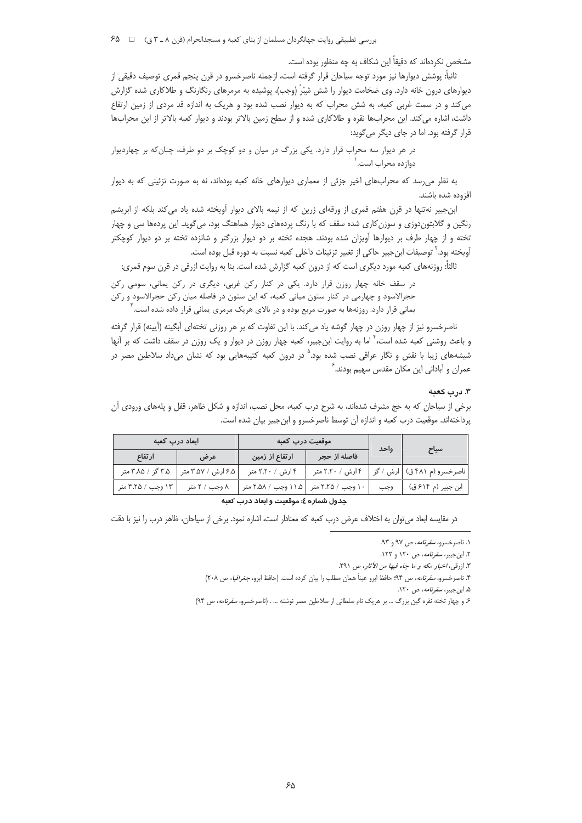مشخص نکردهاند که دقیقاً این شکاف به چه منظور بوده است.

ثانياً: پوشش ديوارها نيز مورد توجه سياحان قرار گرفته است، ازجمله ناصرخسرو در قرن پنجم قمري توصيف دقيقي از دیوارهای درون خانه دارد. وی ضخامت دیوار را شش شِبْرْ (وجب)، پوشیده به مرمرهای رنگارنگ و طلاکاری شده گزارش می کند و در سمت غربی کعبه، به شش محراب که به دیوار نصب شده بود و هریک به اندازه قد مردی از زمین ارتفاع داشت، اشاره می کند. این محرابها نقره و طلاکاری شده و از سطح زمین بالاتر بودند و دیوار کعبه بالاتر از این محرابها قرار گرفته بود. اما در جای دیگر میگوید:

در هر دیوار سه محراب قرار دارد. یکی بزرگ در میان و دو کوچک بر دو طرف، چنان که بر چهاردیوار دوازده محراب است.`

به نظر می رسد که محرابهای اخیر جزئی از معماری دیوارهای خانه کعبه بودهاند، نه به صورت تزئینی که به دیوار افزوده شده باشند.

ابنجبیر نهتنها در قرن هفتم قمری از ورقهای زرین که از نیمه بالای دیوار آویخته شده یاد میکند بلکه از ابریشم رنگین و گلابتوندوزی و سوزن کاری شده سقف که با رنگ پردههای دیوار هماهنگ بود، میگوید. این پردهها سی و چهار تخته و از چهار طرف بر دیوارها آویزان شده بودند. هجده تخته بر دو دیوار بزرگتر و شانزده تخته بر دو دیوار کوچکتر آويخته بود.<sup>۲</sup> توصيفات ابن جبير حاكي از تغيير تزئينات داخلي كعبه نسبت به دوره قبل بوده است.

ثالثاً: روزنههای کعبه مورد دیگری است که از درون کعبه گزارش شده است. بنا به روایت ازرقی در قرن سوم قمری:

در سقف خانه چهار روزن قرار دارد. یکی در کنار رکن غربی، دیگری در رکن یمانی، سومی رکن حجرالاسود و چهارمی در کنار ستون میانی کعبه، که این ستون در فاصله میان رکن حجرالاسود و رکن یمانی قرار دارد. روزنهها به صورت مربع بوده و در بالای هریک مرمری یمانی قرار داده شده است.

ناصرخسرو نیز از چهار روزن در چهار گوشه یاد می کند. با این تفاوت که بر هر روزنی تختهای آبگینه (آیینه) قرار گرفته و باعث روشنی کعبه شده است، ٔ اما به روایت ابنِ جبیر، کعبه چهار روزن در دیوار و یک روزن در سقف داشت که بر آنها شیشههای زیبا با نقش و نگار عراقی نصب شده بود.<sup>۵</sup> در درون کعبه کتیبههایی بود که نشان میداد سلاطین مصر در عمران و آبادانی این مکان مقدس سهیم بودند. ً

### ٣. درب كعنه

برخی از سیاحان که به حج مشرف شدهاند، به شرح درب کعبه، محل نصب، اندازه و شکل ظاهر، قفل و پلههای ورودی آن پرداختهاند. موقعیت درب کعبه و اندازه آن توسط ناصرخسرو و ابن جبیر بیان شده است.

|                   | ابعاد درب کعبه     | موقعیت درب کعبه                         |                  | واحد | سياح                         |
|-------------------|--------------------|-----------------------------------------|------------------|------|------------------------------|
| ارتفاع            | عرض                | ارتفاع از زمین                          | فاصله از حجر     |      |                              |
| ۳.۵ گز / ۳.۸۵ متر | ۶.۵ ارش / ۳.۵۷ متر | ۴ ارش / ۲.۲۰ متر                        | ۴ ارش / ۲.۲۰ متر |      | ناصرخسرو (م ۴۸۱ ق)  ارش / گز |
| ۱۳ وجب / ۳.۲۵ متر | ۸ وجب / ۲ متر      | ۱۰ وجب / ۲.۲۵ متر   ۱۱.۵ وجب / ۲.۵۸ متر |                  |      | ابن جبير (م ۶۱۴ ق)   وجب     |
|                   |                    |                                         |                  |      |                              |

#### جدول شماره ٤: موقعیت و ابعاد درب کعبه

در مقايسه ابعاد مي توان به اختلاف عرض درب كعبه كه معنادار است، اشاره نمود. برخي از سياحان، ظاهر درب را نيز با دقت

۰۱. ناصر خسرو، *سفرنامه*، ص ۹۷ و ۹۳.

۲. این چیبر، *سفرنامه*، ص ۱۲۰ و ۱۲۲.

٣. ازرقبي، *اخبار مكه و ما جاء فيها من الأثار*، ص ٢٩١.

۴. ناصرخسرو، *سفرنامه*، ص ۹۴: حافظ ابرو عيناً همان مطلب را بيان كرده است. (حافظ ابرو، *جغرافيا، ص ٢٠*٨)

۵. ابن جبیر، *سفرنامه*، ص ۱۲۰.

۶. و چهار تخته نقره گین بزرگ ... بر هریک نام سلطانی از سلاطین مصر نوشته ... . (ناصرخسرو، *سفرنامه*، ص ۹۴)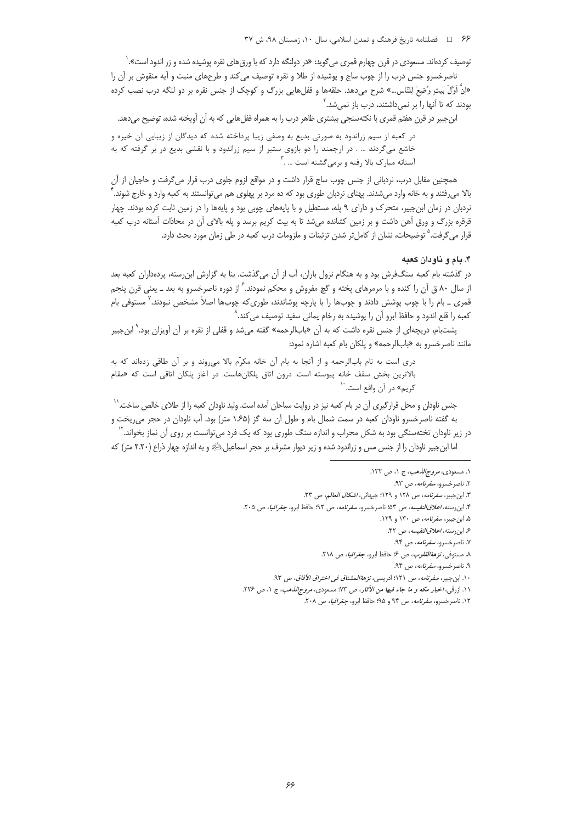توصیف کردهاند. مسعودی در قرن چهارم قمری می *گ*وید: «در دولنگه دارد که با ورق های نقره پوشیده شده و زر اندود است». <sup>(</sup>

ناصرخسرو جنس درب را از چوب ساج و پوشیده از طلا و نقره توصیف می کند و طرحهای منبت و آیه منقوش بر آن را «إِنَّ أَوَّلَ بَيتٍ وُضِعَ لِلنَّاس...» شرح مى‹هد. حلقهها و قفلهايى بزرگ و كوچک از جنس نقره بر دو لنگه درب نصب كرده بودند که تا آنها را بر نمی داشتند، درب باز نمی شد.<sup>۲</sup>

ابنجبیر در قرن هفتم قمری با نکتهسنجی بیشتری ظاهر درب را به همراه قفلهایی که به آن آویخته شده، توضیح میدهد.

در کعبه از سیم زراندود به صورتی بدیع به وصفی زیبا پرداخته شده که دیدگان از زیبایی آن خیره و خاشع میگردند … . در ارجمند را دو بازوی ستبر از سیم زراندود و با نقشی بدیع در بر گرفته که به آستانه مبارک بالا رفته و برمیگشته است … .

همچنین مقابل درب، نردبانی از جنس چوب ساج قرار داشت و در مواقع لزوم جلوی درب قرار میگرفت و حاجیان از آن بالا مي,رفتند و به خانه وارد مي شدند. پهناي نردبان طوري بود كه ده مرد بر پهلوي هم مي توانستند به كعبه وارد و خارج شوند. <sup>1</sup> نردبان در زمان ابنجبیر، متحرک و دارای ۹ پله، مستطیل و با پایههای چوبی بود و پایهها را در زمین ثابت کرده بودند. چهار قرقره بزرگ و ورق آهن داشت و بر زمین کشانده میشد تا به بیت کریم برسد و پله بالای آن در محاذات آستانه درب کعبه قرار می گرفت.<sup>۵</sup> توضیحات، نشان از کامل *ت*ر شدن تزئینات و ملزومات درب کعبه در طی زمان مورد بحث دارد.

### ۴. بام و ناودان کعبه

در گذشته بام کعبه سنگفرش بود و به هنگام نزول باران، آب از آن می2نشت. بنا به گزارش ابن٫سته، پردهداران کعبه بعد از سال ۸۰ ق آن را کنده و با مرمرهای پخته و گچ مفروش و محکم نمودند. ٔ از دوره ناصرخسرو به بعد ـ یعنی قرن پنجم قمری <sub>–</sub> بام را با چوب پوشش دادند و چوبها را با پارچه پوشاندند، طوری6که چوبها اصلاً مشخص نبودند.<sup>۷</sup> مستوفی بام کعبه را قلع اندود و حافظ ابرو آن را پوشیده به رخام یمانی سفید توصیف می کند.^

پشتبام، دریچهای از جنس نقره داشت که به آن «بابالرحمه» گفته میشد و قفلی از نقره بر آن آویزان بود.<sup>۹</sup> ابنجبیر مانند ناصرخسرو به «بابالرحمه» و پلکان بام کعبه اشاره نمود:

دري است به نام بابالرحمه و از آنجا به بام آن خانه مكرّم بالا مي وند و بر آن طاقي زدهاند كه به بالاترین بخش سقف خانه پیوسته است. درون اتاق پلکانهاست. در آغاز پلکان اتاقی است که «مقام کريم» د<sub>ر</sub> آن واقع است. <sup>۱۰</sup>

جنس ناودان و محل قرارگیری آن در بام کعبه نیز در روایت سیاحان آمده است. ولید ناودان کعبه را از طلای خالص ساخت.<sup>۱٬</sup> به گفته ناصرخسرو ناودان کعبه در سمت شمال بام و طول آن سه گز (۱۶۵ متر) بود. آب ناودان در حجر می ریخت و

در زیر ناودان تختهسنگی بود به شکل محراب و اندازه سنگ طوری بود که یک فرد میتوانست بر روی آن نماز بخواند.<sup>۱۲</sup> اما ابن جبیر ناودان را از جنس مس و زراندود شده و زیر دیوار مشرف بر حجر اسماعیل ﷺ و به اندازه چهار ذراع (۲.۲۰ متر) که

١. مسعودي، *مروج الذهب*، ج ١، ص ١٣٢.

۲. ناصرخسرو، *سفرنامه*، ص ۹۳.

٣. ابن جبير، *سفرنامه*، ص ١٢٨ و ١٢٩؛ جيهاني، *اشكال العالم، ص* ٣٣.

۴. ابن رسته، *اعلاق النفيسه*، ص ۵۳؛ ناصرخسرو، *سفرنامه*، ص ۹۲؛ حافظ ابرو، *جغرافيا*، ص ۲۰۵.

۵. ابن جبیر، *سفرنامه*، ص ۱۳۰ و ۱۲۹.

۶. ابن رسته، *اعلاق النفيسه*، ص ۴۲.

٧. ناصر خسرو، *سفرنامه*، ص ۹۴.

٨. مستوفى، *نزهةالقلوب*، ص ۶ حافظ ابرو، *جغرافيا*، ص ٢١٨.

۹. ناصر خسرو، *سفرنامه*، ص ۹۴.

۱۰. ابن جبیر، *سفرنامه*، ص ۱۲۱؛ ادریسی، *نزهةالمشتاق فی اختراق الآفاق*، ص ۹۳.

١١. ازرقبي، اخبار مكه و ما جاء فيها من الآثار، ص ٧٣: مسعودي، مروج/لذهب، ج ١، ص ٢٢٤.

١٢. ناصرخسرو، *سفرنامه*، ص ٩۴ و ٩٥؛ حافظ ابرو، جغر*افيا*، ص ٢٠٨.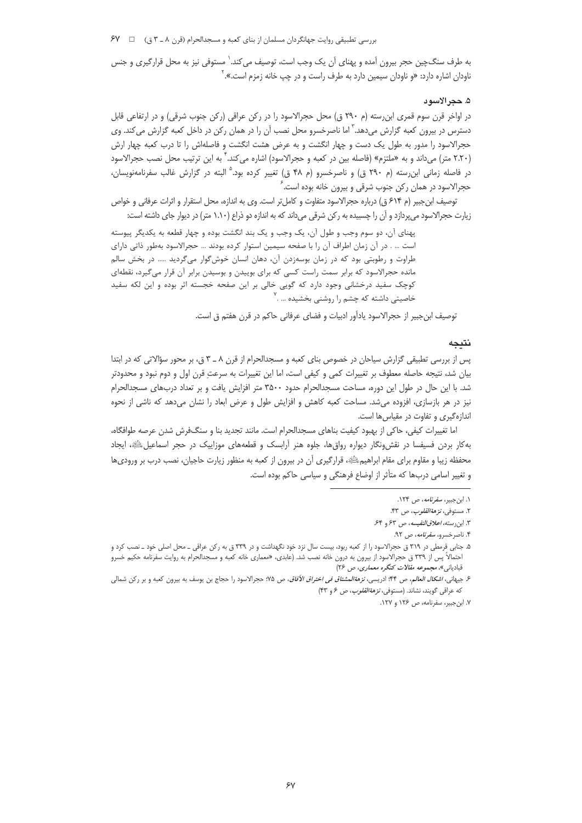بررسی تطبیقی روایت جهانگردان مسلمان از بنای کعبه و مسجدالحرام (قرن ٨ ـ ٣ ق) = PV

به طرف سنگ\$چین حجر بیرون آمده و پهنای آن یک وجب است، توصیف می کند. ٰ مستوفی نیز به محل قرارگیری و جنس ناودان اشاره دارد: «و ناودان سیمین دارد به طرف راست و در چپ خانه زمزم است.». `

### ۵. حجر الأسود

در اواخر قرن سوم قمری ابن٫رسته (م ۲۹۰ ق) محل حجرالاسود را در رکن عراقی (رکن جنوب شرقی) و در ارتفاعی قابل دسترس در بیرون کعبه گزارش میدهد.` اما ناصرخسرو محل نصب آن را در همان رکن در داخل کعبه گزارش میکند. وی حجرالاسود را مدور به طول یک دست و چهار انگشت و به عرض هشت انگشت و فاصلهاش را تا درب کعبه چهار ارش (۲.۲۰ متر) میداند و به «ملتزم» (فاصله بین در کعبه و حجرالاسود) اشاره میکند.<sup>۴</sup> به این ترتیب محل نصب حجرالاسود در فاصله زمانی ابن رسته (م ۲۹۰ ق) و ناصرخسرو (م ۴۸ ق) تغییر کرده بود.<sup>۵</sup> البته در گزارش غالب سفرنامهنویسان، حجرالاسود در همان ركن جنوب شرقي و بيرون خانه بوده است. ً

توصيف ابن جبير (م ۶۱۴ ق) درباره حجرالاسود متفاوت و كامل تر است. وى به اندازه، محل استقرار و اثرات عرفانى و خواص زیارت حجرالاسود میپردازد و ان را چسبیده به رکن شرقی میداند که به اندازه دو ذراع (۱.۱۰ متر) در دیوار جای داشته است:

پهنای آن، دو سوم وجب و طول آن، یک وجب و یک بند انگشت بوده و چهار قطعه به یکدیگر پیوسته است … . در آن زمان اطراف آن را با صفحه سیمین استوار کرده بودند … حجرالاسود بهطور ذاتی دارای طراوت و رطوبتی بود که در زمان بوسهزدن آن، دهان انسان خوشگوار میگردید ….. در بخش سالم مانده حجرالاسود که برابر سمت راست کسی که برای بوییدن و بوسیدن برابر آن قرار میگیرد، نقطهای کوچک سفید درخشانی وجود دارد که گویی خالی بر این صفحه خجسته اثر بوده و این لکه سفید خاصیتی داشته که چشم را روشنی بخشیده … .<sup>٬</sup>

توصيف ابن جبير از حجرالاسود يادآور ادبيات و فضاى عرفاني حاكم در قرن هفتم ق است.

## نتىحە

پس از بررسی تطبیقی گزارش سیاحان در خصوص بنای کعبه و مسجدالحرام از قرن ۸ ـ ۳ ق، بر محور سؤالاتی که در ابتدا بیان شد، نتیجه حاصله معطوف بر تغییرات کمی و کیفی است، اما این تغییرات به سرعتِ قرن اول و دوم نبود و محدودتر شد. با این حال در طول این دوره، مساحت مسجدالحرام حدود ۳۵۰۰ متر افزایش یافت و بر تعداد دربهای مسجدالحرام نیز در هر بازسازی، افزوده میشد. مساحت کعبه کاهش و افزایش طول و عرض ابعاد را نشان میدهد که ناشی از نحوه اندازهگیری و تفاوت در مقیاس ها است.

اما تغییرات کیفی، حاکی از بهبود کیفیت بناهای مسجدالحرام است. مانند تجدید بنا و سنگفرش شدن عرصه طوافگاه، به کار بردن فسیفسا در نقش ونگار دیواره رواق ها، جلوه هنر آرابسک و قطعههای موزاییک در حجر اسماعیلﷺ، ایجاد محفظه زیبا و مقاوم برای مقام ابراهیمﷺ، قرارگیری آن در بیرون از کعبه به منظور زیارت حاجیان، نصب درب بر ورودیها و تغییر اسامی دربها که متأثر از اوضاع فرهنگی و سیاسی حاکم بوده است.

۶. جيهاني، *اشكال العالم*، ص ۴۴: ادريسي، *نز هةالمشتاق في اختراق الآفاق، ص ۷*۵: حجرالاسود را حجاج بن يوسف به بيرون كعبه و بر ركن شمالي که عراقی گویند، نشاند. (مستوفی، *نزهة القلوب*، ص ۶ و ۴۳)

۰۱ ابن جبیر، *سفرنامه*، ص ۱۲۴.

۲. مستوفى، *نزهة القلوب*، ص ۴۳.

٣. ابن رسته، اعلاق النفيسه، ص ۶۳ و ۶۴.

۴. ناصر خسرو، *سفرنامه*، ص ۹۲.

۵. جنابی قرمطی در ۳۱۹ ق حجرالاسود را از کعبه ربود، بیست سال نزد خود نگهداشت و در ۳۳۹ ق به رکن عراقی ـ محل اصلی خود ـ نصب کرد و احتمالاً پس از ۳۳۹ ق حجرالاسود از بیرون به درون خانه نصب شد. (عابدی، «معماری خانه کعبه و مسجدالحرام به روایت سفرنامه حکیم خسرو قبادیانی»، مجم*وعه مقالات کنگره معماری*، ص ۲۶)

٧. ابن جبیر، سفرنامه، ص ١٢۶ و ١٢٧.